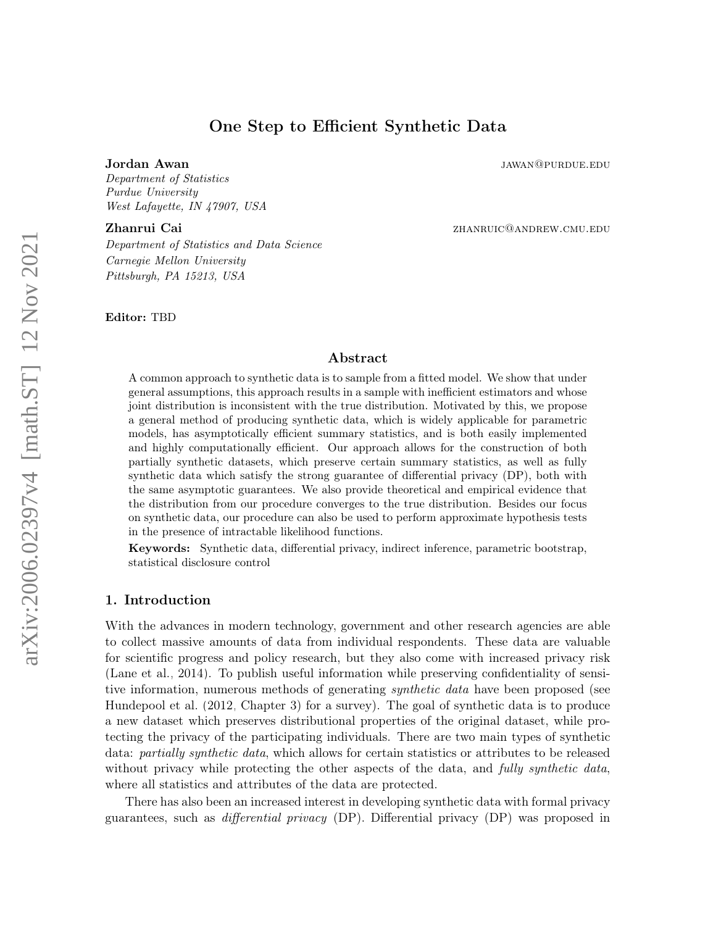# One Step to Efficient Synthetic Data

<span id="page-0-0"></span>Jordan Awan jawan jawan jawan jawan jawan jawan jawan jawan jawan jawan jawan jawan jawan jawan jawan jawan jawa

Department of Statistics Purdue University West Lafayette, IN 47907, USA

### **Zhanrui Cai** *zhanrui Cai zhanruic@andrew.cmu.edu*

Department of Statistics and Data Science Carnegie Mellon University Pittsburgh, PA 15213, USA

Editor: TBD

### Abstract

A common approach to synthetic data is to sample from a fitted model. We show that under general assumptions, this approach results in a sample with inefficient estimators and whose joint distribution is inconsistent with the true distribution. Motivated by this, we propose a general method of producing synthetic data, which is widely applicable for parametric models, has asymptotically efficient summary statistics, and is both easily implemented and highly computationally efficient. Our approach allows for the construction of both partially synthetic datasets, which preserve certain summary statistics, as well as fully synthetic data which satisfy the strong guarantee of differential privacy (DP), both with the same asymptotic guarantees. We also provide theoretical and empirical evidence that the distribution from our procedure converges to the true distribution. Besides our focus on synthetic data, our procedure can also be used to perform approximate hypothesis tests in the presence of intractable likelihood functions.

Keywords: Synthetic data, differential privacy, indirect inference, parametric bootstrap, statistical disclosure control

## 1. Introduction

With the advances in modern technology, government and other research agencies are able to collect massive amounts of data from individual respondents. These data are valuable for scientific progress and policy research, but they also come with increased privacy risk [\(Lane et al., 2014\)](#page-29-0). To publish useful information while preserving confidentiality of sensitive information, numerous methods of generating *synthetic data* have been proposed (see [Hundepool et al.](#page-29-1) [\(2012,](#page-29-1) Chapter 3) for a survey). The goal of synthetic data is to produce a new dataset which preserves distributional properties of the original dataset, while protecting the privacy of the participating individuals. There are two main types of synthetic data: *partially synthetic data*, which allows for certain statistics or attributes to be released without privacy while protecting the other aspects of the data, and *fully synthetic data*, where all statistics and attributes of the data are protected.

There has also been an increased interest in developing synthetic data with formal privacy guarantees, such as differential privacy (DP). Differential privacy (DP) was proposed in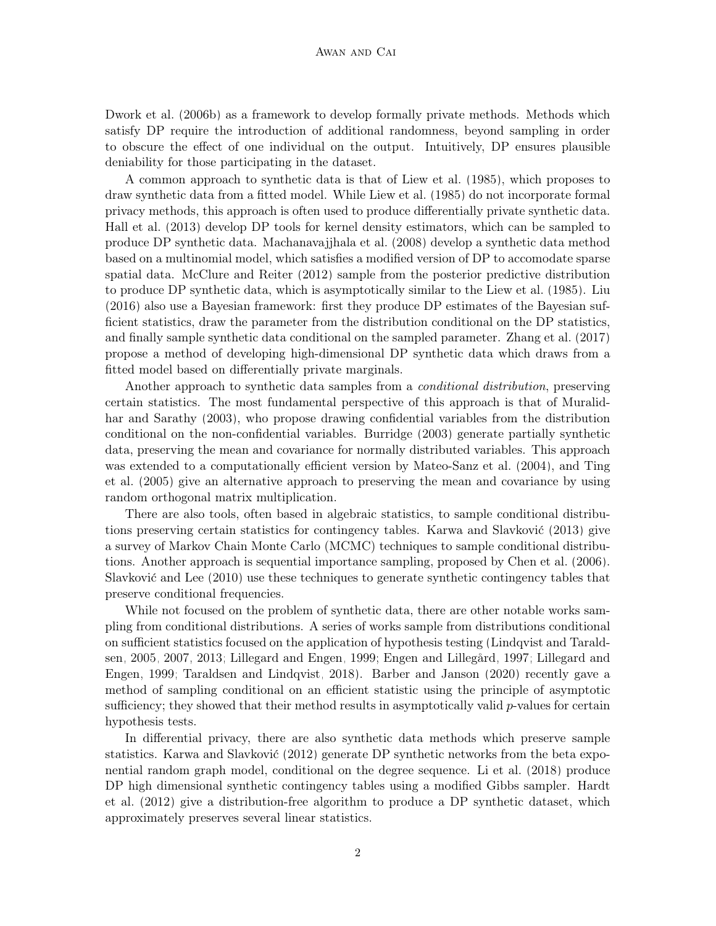[Dwork et al.](#page-28-0) [\(2006b\)](#page-28-0) as a framework to develop formally private methods. Methods which satisfy DP require the introduction of additional randomness, beyond sampling in order to obscure the effect of one individual on the output. Intuitively, DP ensures plausible deniability for those participating in the dataset.

A common approach to synthetic data is that of [Liew et al.](#page-29-2) [\(1985\)](#page-29-2), which proposes to draw synthetic data from a fitted model. While [Liew et al.](#page-29-2) [\(1985\)](#page-29-2) do not incorporate formal privacy methods, this approach is often used to produce differentially private synthetic data. [Hall et al.](#page-28-1) [\(2013\)](#page-28-1) develop DP tools for kernel density estimators, which can be sampled to produce DP synthetic data. [Machanavajjhala et al.](#page-30-0) [\(2008\)](#page-30-0) develop a synthetic data method based on a multinomial model, which satisfies a modified version of DP to accomodate sparse spatial data. [McClure and Reiter](#page-30-1) [\(2012\)](#page-30-1) sample from the posterior predictive distribution to produce DP synthetic data, which is asymptotically similar to the [Liew et al.](#page-29-2) [\(1985\)](#page-29-2). [Liu](#page-30-2) [\(2016\)](#page-30-2) also use a Bayesian framework: first they produce DP estimates of the Bayesian sufficient statistics, draw the parameter from the distribution conditional on the DP statistics, and finally sample synthetic data conditional on the sampled parameter. [Zhang et al.](#page-31-0) [\(2017\)](#page-31-0) propose a method of developing high-dimensional DP synthetic data which draws from a fitted model based on differentially private marginals.

Another approach to synthetic data samples from a conditional distribution, preserving certain statistics. The most fundamental perspective of this approach is that of [Muralid](#page-30-3)[har and Sarathy](#page-30-3) [\(2003\)](#page-30-3), who propose drawing confidential variables from the distribution conditional on the non-confidential variables. [Burridge](#page-28-2) [\(2003\)](#page-28-2) generate partially synthetic data, preserving the mean and covariance for normally distributed variables. This approach was extended to a computationally efficient version by [Mateo-Sanz et al.](#page-30-4) [\(2004\)](#page-30-4), and [Ting](#page-31-1) [et al.](#page-31-1) [\(2005\)](#page-31-1) give an alternative approach to preserving the mean and covariance by using random orthogonal matrix multiplication.

There are also tools, often based in algebraic statistics, to sample conditional distributions preserving certain statistics for contingency tables. [Karwa and Slavković](#page-29-3) [\(2013\)](#page-29-3) give a survey of Markov Chain Monte Carlo (MCMC) techniques to sample conditional distributions. Another approach is sequential importance sampling, proposed by [Chen et al.](#page-28-3) [\(2006\)](#page-28-3). [Slavković and Lee](#page-31-2) [\(2010\)](#page-31-2) use these techniques to generate synthetic contingency tables that preserve conditional frequencies.

While not focused on the problem of synthetic data, there are other notable works sampling from conditional distributions. A series of works sample from distributions conditional on sufficient statistics focused on the application of hypothesis testing [\(Lindqvist and Tarald](#page-29-4)[sen, 2005,](#page-29-4) [2007,](#page-30-5) [2013;](#page-30-6) [Lillegard and Engen, 1999;](#page-29-5) [Engen and Lillegård, 1997;](#page-28-4) [Lillegard and](#page-29-5) [Engen, 1999;](#page-29-5) [Taraldsen and Lindqvist, 2018\)](#page-31-3). [Barber and Janson](#page-27-0) [\(2020\)](#page-27-0) recently gave a method of sampling conditional on an efficient statistic using the principle of asymptotic sufficiency; they showed that their method results in asymptotically valid  $p$ -values for certain hypothesis tests.

In differential privacy, there are also synthetic data methods which preserve sample statistics. [Karwa and Slavković](#page-29-6) [\(2012\)](#page-29-6) generate DP synthetic networks from the beta exponential random graph model, conditional on the degree sequence. [Li et al.](#page-29-7) [\(2018\)](#page-29-7) produce DP high dimensional synthetic contingency tables using a modified Gibbs sampler. [Hardt](#page-29-8) [et al.](#page-29-8) [\(2012\)](#page-29-8) give a distribution-free algorithm to produce a DP synthetic dataset, which approximately preserves several linear statistics.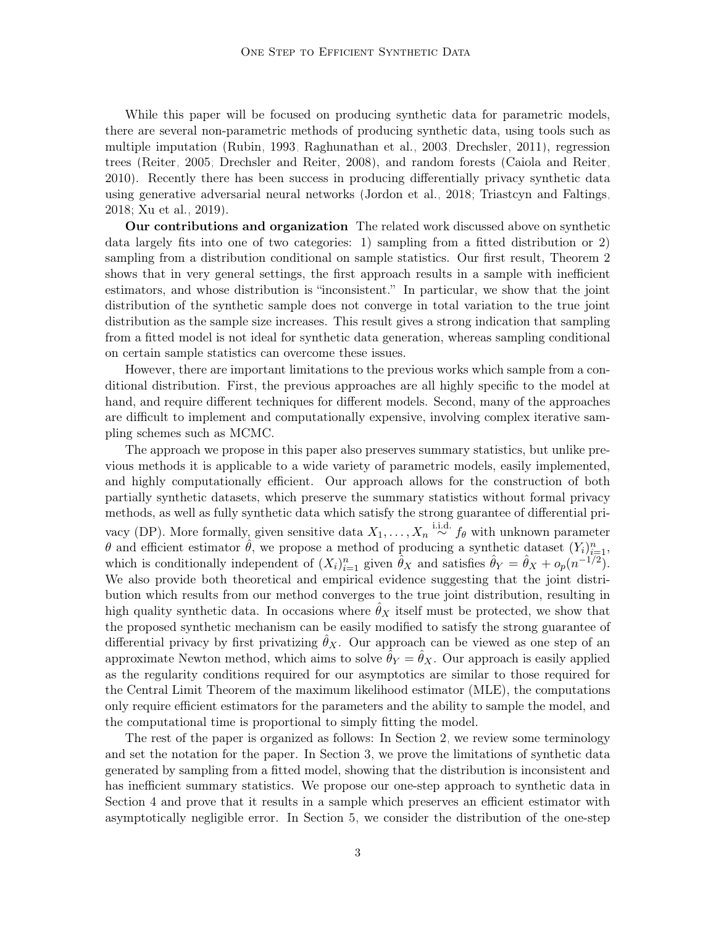While this paper will be focused on producing synthetic data for parametric models, there are several non-parametric methods of producing synthetic data, using tools such as multiple imputation [\(Rubin, 1993;](#page-30-7) [Raghunathan et al., 2003;](#page-30-8) [Drechsler, 2011\)](#page-28-5), regression trees [\(Reiter, 2005;](#page-30-9) [Drechsler and Reiter, 2008\)](#page-28-6), and random forests [\(Caiola and Reiter,](#page-28-7) [2010\)](#page-28-7). Recently there has been success in producing differentially privacy synthetic data using generative adversarial neural networks [\(Jordon et al., 2018;](#page-29-9) [Triastcyn and Faltings,](#page-31-4) [2018;](#page-31-4) [Xu et al., 2019\)](#page-31-5).

Our contributions and organization The related work discussed above on synthetic data largely fits into one of two categories: 1) sampling from a fitted distribution or 2) sampling from a distribution conditional on sample statistics. Our first result, Theorem [2](#page-4-0) shows that in very general settings, the first approach results in a sample with inefficient estimators, and whose distribution is "inconsistent." In particular, we show that the joint distribution of the synthetic sample does not converge in total variation to the true joint distribution as the sample size increases. This result gives a strong indication that sampling from a fitted model is not ideal for synthetic data generation, whereas sampling conditional on certain sample statistics can overcome these issues.

However, there are important limitations to the previous works which sample from a conditional distribution. First, the previous approaches are all highly specific to the model at hand, and require different techniques for different models. Second, many of the approaches are difficult to implement and computationally expensive, involving complex iterative sampling schemes such as MCMC.

The approach we propose in this paper also preserves summary statistics, but unlike previous methods it is applicable to a wide variety of parametric models, easily implemented, and highly computationally efficient. Our approach allows for the construction of both partially synthetic datasets, which preserve the summary statistics without formal privacy methods, as well as fully synthetic data which satisfy the strong guarantee of differential privacy (DP). More formally, given sensitive data  $X_1, \ldots, X_n \stackrel{\text{i.i.d.}}{\sim} f_\theta$  with unknown parameter  $\theta$  and efficient estimator  $\hat{\theta}$ , we propose a method of producing a synthetic dataset  $(Y_i)_{i=1}^n$ , which is conditionally independent of  $(X_i)_{i=1}^n$  given  $\hat{\theta}_X$  and satisfies  $\hat{\theta}_Y = \hat{\theta}_X + o_p(n^{-1/2})$ . We also provide both theoretical and empirical evidence suggesting that the joint distribution which results from our method converges to the true joint distribution, resulting in high quality synthetic data. In occasions where  $\hat{\theta}_X$  itself must be protected, we show that the proposed synthetic mechanism can be easily modified to satisfy the strong guarantee of differential privacy by first privatizing  $\hat{\theta}_X$ . Our approach can be viewed as one step of an approximate Newton method, which aims to solve  $\theta_Y = \theta_X$ . Our approach is easily applied as the regularity conditions required for our asymptotics are similar to those required for the Central Limit Theorem of the maximum likelihood estimator (MLE), the computations only require efficient estimators for the parameters and the ability to sample the model, and the computational time is proportional to simply fitting the model.

The rest of the paper is organized as follows: In Section [2,](#page-3-0) we review some terminology and set the notation for the paper. In Section [3,](#page-3-1) we prove the limitations of synthetic data generated by sampling from a fitted model, showing that the distribution is inconsistent and has inefficient summary statistics. We propose our one-step approach to synthetic data in Section [4](#page-4-1) and prove that it results in a sample which preserves an efficient estimator with asymptotically negligible error. In Section [5,](#page-7-0) we consider the distribution of the one-step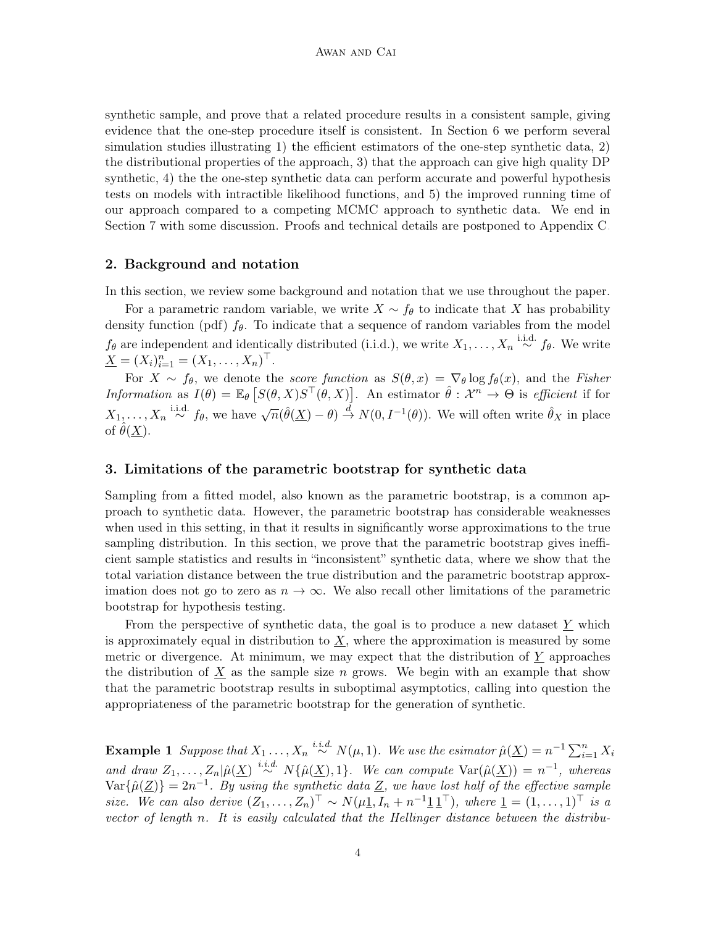synthetic sample, and prove that a related procedure results in a consistent sample, giving evidence that the one-step procedure itself is consistent. In Section [6](#page-9-0) we perform several simulation studies illustrating 1) the efficient estimators of the one-step synthetic data, 2) the distributional properties of the approach, 3) that the approach can give high quality DP synthetic, 4) the the one-step synthetic data can perform accurate and powerful hypothesis tests on models with intractible likelihood functions, and 5) the improved running time of our approach compared to a competing MCMC approach to synthetic data. We end in Section [7](#page-16-0) with some discussion. Proofs and technical details are postponed to Appendix [C.](#page-3-1)

# <span id="page-3-0"></span>2. Background and notation

In this section, we review some background and notation that we use throughout the paper.

For a parametric random variable, we write  $X \sim f_{\theta}$  to indicate that X has probability density function (pdf)  $f_{\theta}$ . To indicate that a sequence of random variables from the model  $f_{\theta}$  are independent and identically distributed (i.i.d.), we write  $X_1, \ldots, X_n \stackrel{\text{i.i.d.}}{\sim} f_{\theta}$ . We write  $\underline{X} = (X_i)_{i=1}^n = (X_1, \ldots, X_n)^\top.$ 

For  $X \sim f_\theta$ , we denote the *score function* as  $S(\theta, x) = \nabla_\theta \log f_\theta(x)$ , and the *Fisher* Information as  $I(\theta) = \mathbb{E}_{\theta} [S(\theta, X) S^{\top}(\theta, X)].$  An estimator  $\hat{\theta} : \mathcal{X}^n \to \Theta$  is efficient if for  $X_1, \ldots, X_n \stackrel{\text{i.i.d.}}{\sim} f_\theta$ , we have  $\sqrt{n}(\hat{\theta}(\underline{X}) - \theta) \stackrel{d}{\rightarrow} N(0, I^{-1}(\theta))$ . We will often write  $\hat{\theta}_X$  in place of  $\theta(\underline{X})$ .

## <span id="page-3-1"></span>3. Limitations of the parametric bootstrap for synthetic data

Sampling from a fitted model, also known as the parametric bootstrap, is a common approach to synthetic data. However, the parametric bootstrap has considerable weaknesses when used in this setting, in that it results in significantly worse approximations to the true sampling distribution. In this section, we prove that the parametric bootstrap gives inefficient sample statistics and results in "inconsistent" synthetic data, where we show that the total variation distance between the true distribution and the parametric bootstrap approximation does not go to zero as  $n \to \infty$ . We also recall other limitations of the parametric bootstrap for hypothesis testing.

From the perspective of synthetic data, the goal is to produce a new dataset  $Y$  which is approximately equal in distribution to  $\underline{X}$ , where the approximation is measured by some metric or divergence. At minimum, we may expect that the distribution of Y approaches the distribution of  $\underline{X}$  as the sample size n grows. We begin with an example that show that the parametric bootstrap results in suboptimal asymptotics, calling into question the appropriateness of the parametric bootstrap for the generation of synthetic.

<span id="page-3-2"></span>**Example 1** Suppose that  $X_1 \ldots, X_n \stackrel{i.i.d.}{\sim} N(\mu, 1)$ . We use the esimator  $\hat{\mu}(\underline{X}) = n^{-1} \sum_{i=1}^n X_i$ and draw  $Z_1, \ldots, Z_n | \hat{\mu}(\underline{X}) \stackrel{i.i.d.}{\sim} N\{\hat{\mu}(\underline{X}), 1\}.$  We can compute  $\text{Var}(\hat{\mu}(\underline{X})) = n^{-1}$ , whereas  $\text{Var}\{\hat{\mu}(\underline{Z})\} = 2n^{-1}$ . By using the synthetic data  $\underline{Z}$ , we have lost half of the effective sample size. We can also derive  $(Z_1, \ldots, Z_n)^\top \sim N(\mu \underline{1}, I_n + n^{-1} \underline{1} \underline{1}^\top)$ , where  $\underline{1} = (1, \ldots, 1)^\top$  is a vector of length n. It is easily calculated that the Hellinger distance between the distribu-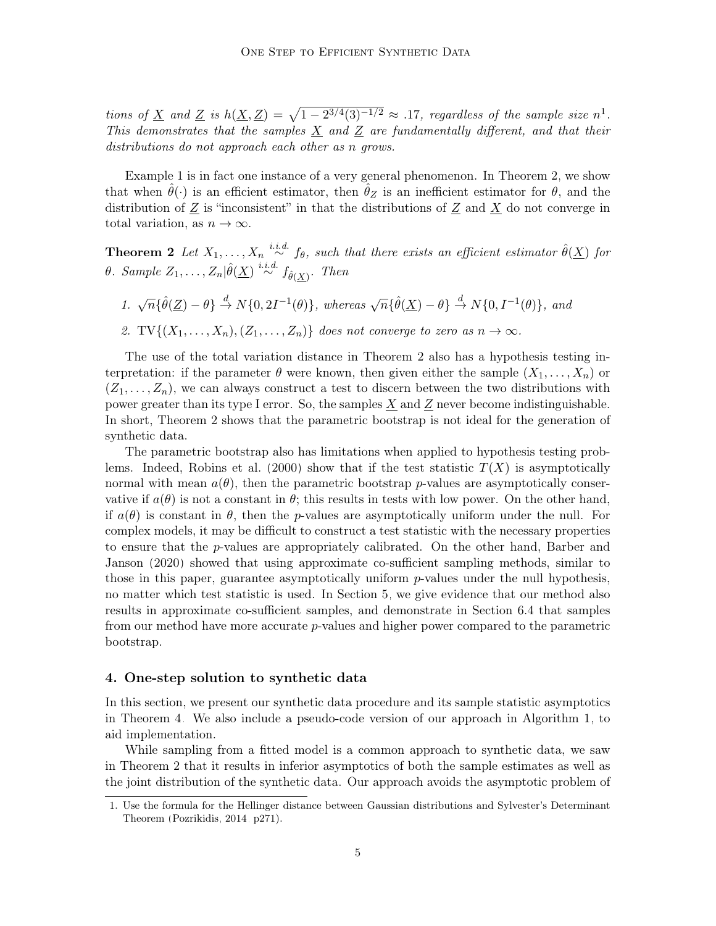tions of X and Z is  $h(\underline{X}, \underline{Z}) = \sqrt{1 - 2^{3/4}(3)^{-1/2}} \approx .17$  $h(\underline{X}, \underline{Z}) = \sqrt{1 - 2^{3/4}(3)^{-1/2}} \approx .17$  $h(\underline{X}, \underline{Z}) = \sqrt{1 - 2^{3/4}(3)^{-1/2}} \approx .17$ , regardless of the sample size  $n^1$ . This demonstrates that the samples  $\underline{X}$  and  $\underline{Z}$  are fundamentally different, and that their distributions do not approach each other as n grows.

Example [1](#page-3-2) is in fact one instance of a very general phenomenon. In Theorem [2,](#page-4-0) we show that when  $\hat{\theta}(\cdot)$  is an efficient estimator, then  $\hat{\theta}_Z$  is an inefficient estimator for  $\theta$ , and the distribution of  $\underline{Z}$  is "inconsistent" in that the distributions of  $\underline{Z}$  and  $\underline{X}$  do not converge in total variation, as  $n \to \infty$ .

<span id="page-4-0"></span>**Theorem 2** Let  $X_1, \ldots, X_n \stackrel{i.i.d.}{\sim} f_\theta$ , such that there exists an efficient estimator  $\hat{\theta}(\underline{X})$  for θ. Sample  $Z_1, \ldots, Z_n | \hat{\theta}(\underline{X}) \stackrel{i.i.d.}{\sim} f_{\hat{\theta}(\underline{X})}$ . Then

1.  $\sqrt{n} \{\hat{\theta}(\underline{Z}) - \theta\} \stackrel{d}{\rightarrow} N\{0, 2I^{-1}(\theta)\},$  whereas  $\sqrt{n} \{\hat{\theta}(\underline{X}) - \theta\} \stackrel{d}{\rightarrow} N\{0, I^{-1}(\theta)\},$  and 2. TV $\{(X_1, \ldots, X_n), (Z_1, \ldots, Z_n)\}\)$  does not converge to zero as  $n \to \infty$ .

The use of the total variation distance in Theorem [2](#page-4-0) also has a hypothesis testing interpretation: if the parameter  $\theta$  were known, then given either the sample  $(X_1, \ldots, X_n)$  or  $(Z_1, \ldots, Z_n)$ , we can always construct a test to discern between the two distributions with power greater than its type I error. So, the samples  $\underline{X}$  and  $\underline{Z}$  never become indistinguishable. In short, Theorem [2](#page-4-0) shows that the parametric bootstrap is not ideal for the generation of synthetic data.

The parametric bootstrap also has limitations when applied to hypothesis testing prob-lems. Indeed, [Robins et al.](#page-30-10) [\(2000\)](#page-30-10) show that if the test statistic  $T(X)$  is asymptotically normal with mean  $a(\theta)$ , then the parametric bootstrap p-values are asymptotically conservative if  $a(\theta)$  is not a constant in  $\theta$ ; this results in tests with low power. On the other hand, if  $a(\theta)$  is constant in  $\theta$ , then the p-values are asymptotically uniform under the null. For complex models, it may be difficult to construct a test statistic with the necessary properties to ensure that the p-values are appropriately calibrated. On the other hand, [Barber and](#page-27-0) [Janson](#page-27-0) [\(2020\)](#page-27-0) showed that using approximate co-sufficient sampling methods, similar to those in this paper, guarantee asymptotically uniform p-values under the null hypothesis, no matter which test statistic is used. In Section [5,](#page-7-0) we give evidence that our method also results in approximate co-sufficient samples, and demonstrate in Section [6.4](#page-12-0) that samples from our method have more accurate p-values and higher power compared to the parametric bootstrap.

#### <span id="page-4-1"></span>4. One-step solution to synthetic data

In this section, we present our synthetic data procedure and its sample statistic asymptotics in Theorem [4.](#page-6-0) We also include a pseudo-code version of our approach in Algorithm [1,](#page-7-1) to aid implementation.

While sampling from a fitted model is a common approach to synthetic data, we saw in Theorem [2](#page-4-0) that it results in inferior asymptotics of both the sample estimates as well as the joint distribution of the synthetic data. Our approach avoids the asymptotic problem of

<sup>1.</sup> Use the formula for the Hellinger distance between Gaussian distributions and Sylvester's Determinant Theorem [\(Pozrikidis, 2014,](#page-30-11) p271).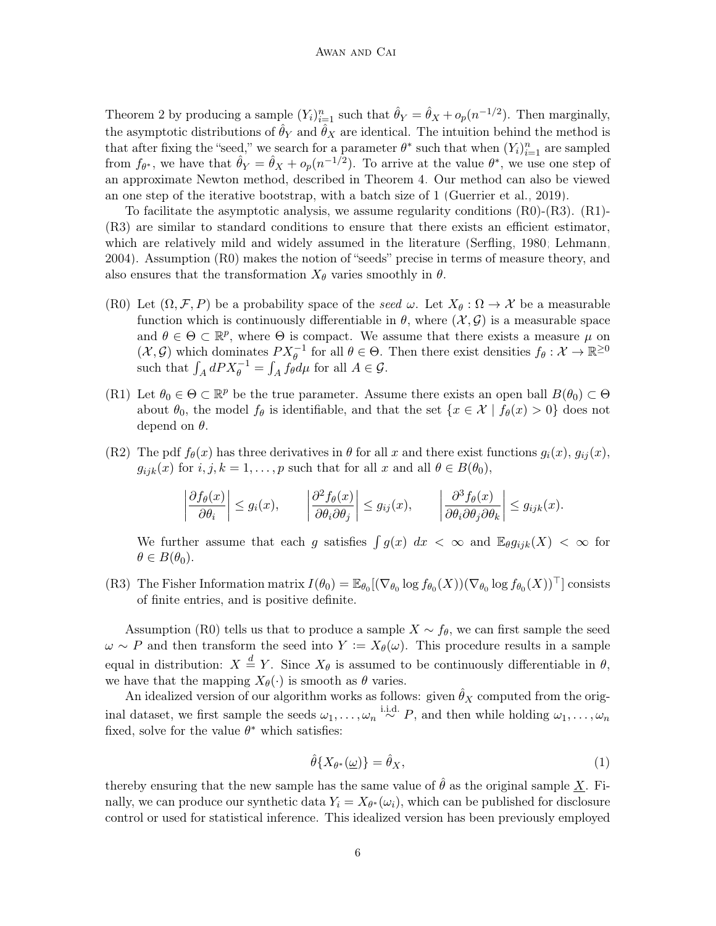Theorem [2](#page-4-0) by producing a sample  $(Y_i)_{i=1}^n$  such that  $\hat{\theta}_Y = \hat{\theta}_X + o_p(n^{-1/2})$ . Then marginally, the asymptotic distributions of  $\hat{\theta}_Y$  and  $\hat{\theta}_X$  are identical. The intuition behind the method is that after fixing the "seed," we search for a parameter  $\theta^*$  such that when  $(Y_i)_{i=1}^n$  are sampled from  $f_{\theta^*}$ , we have that  $\hat{\theta}_Y = \hat{\theta}_X + o_p(n^{-1/2})$ . To arrive at the value  $\theta^*$ , we use one step of an approximate Newton method, described in Theorem [4.](#page-6-0) Our method can also be viewed an one step of the iterative bootstrap, with a batch size of 1 [\(Guerrier et al., 2019\)](#page-28-8).

To facilitate the asymptotic analysis, we assume regularity conditions (R0)-(R3). (R1)- (R3) are similar to standard conditions to ensure that there exists an efficient estimator, which are relatively mild and widely assumed in the literature [\(Serfling, 1980;](#page-30-12) [Lehmann,](#page-29-10) [2004\)](#page-29-10). Assumption (R0) makes the notion of "seeds" precise in terms of measure theory, and also ensures that the transformation  $X_{\theta}$  varies smoothly in  $\theta$ .

- (R0) Let  $(\Omega, \mathcal{F}, P)$  be a probability space of the seed  $\omega$ . Let  $X_{\theta} : \Omega \to \mathcal{X}$  be a measurable function which is continuously differentiable in  $\theta$ , where  $(\mathcal{X}, \mathcal{G})$  is a measurable space and  $\theta \in \Theta \subset \mathbb{R}^p$ , where  $\Theta$  is compact. We assume that there exists a measure  $\mu$  on  $(\mathcal{X}, \mathcal{G})$  which dominates  $PX_{\theta}^{-1}$  for all  $\theta \in \Theta$ . Then there exist densities  $f_{\theta}: \mathcal{X} \to \mathbb{R}^{\geq 0}$ such that  $\int_A dP X_\theta^{-1} = \int_A f_\theta d\mu$  for all  $A \in \mathcal{G}$ .
- (R1) Let  $\theta_0 \in \Theta \subset \mathbb{R}^p$  be the true parameter. Assume there exists an open ball  $B(\theta_0) \subset \Theta$ about  $\theta_0$ , the model  $f_\theta$  is identifiable, and that the set  $\{x \in \mathcal{X} \mid f_\theta(x) > 0\}$  does not depend on  $\theta$ .
- (R2) The pdf  $f_{\theta}(x)$  has three derivatives in  $\theta$  for all x and there exist functions  $q_i(x)$ ,  $q_{ij}(x)$ ,  $g_{ijk}(x)$  for  $i, j, k = 1, \ldots, p$  such that for all  $x$  and all  $\theta \in B(\theta_0)$ ,

$$
\left|\frac{\partial f_{\theta}(x)}{\partial \theta_i}\right| \le g_i(x), \qquad \left|\frac{\partial^2 f_{\theta}(x)}{\partial \theta_i \partial \theta_j}\right| \le g_{ij}(x), \qquad \left|\frac{\partial^3 f_{\theta}(x)}{\partial \theta_i \partial \theta_j \partial \theta_k}\right| \le g_{ijk}(x).
$$

We further assume that each g satisfies  $\int g(x) dx < \infty$  and  $\mathbb{E}_{\theta} g_{ijk}(X) < \infty$  for  $\theta \in B(\theta_0)$ .

(R3) The Fisher Information matrix  $I(\theta_0) = \mathbb{E}_{\theta_0}[(\nabla_{\theta_0} \log f_{\theta_0}(X))(\nabla_{\theta_0} \log f_{\theta_0}(X))^{\top}]$  consists of finite entries, and is positive definite.

Assumption (R0) tells us that to produce a sample  $X \sim f_{\theta}$ , we can first sample the seed  $\omega \sim P$  and then transform the seed into  $Y := X_{\theta}(\omega)$ . This procedure results in a sample equal in distribution:  $X \stackrel{d}{=} Y$ . Since  $X_{\theta}$  is assumed to be continuously differentiable in  $\theta$ , we have that the mapping  $X_{\theta}(\cdot)$  is smooth as  $\theta$  varies.

An idealized version of our algorithm works as follows: given  $\hat{\theta}_X$  computed from the original dataset, we first sample the seeds  $\omega_1, \ldots, \omega_n \stackrel{\text{i.i.d.}}{\sim} P$ , and then while holding  $\omega_1, \ldots, \omega_n$ fixed, solve for the value  $\theta^*$  which satisfies:

$$
\hat{\theta}\{X_{\theta^*}(\underline{\omega})\} = \hat{\theta}_X,\tag{1}
$$

<span id="page-5-0"></span>thereby ensuring that the new sample has the same value of  $\hat{\theta}$  as the original sample X. Finally, we can produce our synthetic data  $Y_i = X_{\theta^*}(\omega_i)$ , which can be published for disclosure control or used for statistical inference. This idealized version has been previously employed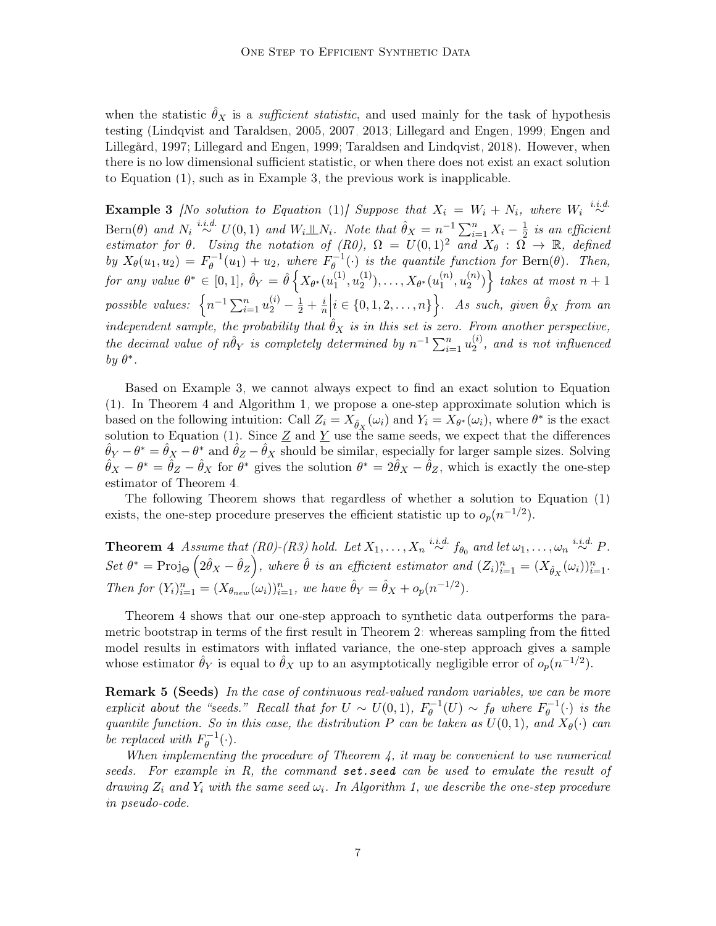when the statistic  $\hat{\theta}_X$  is a *sufficient statistic*, and used mainly for the task of hypothesis testing [\(Lindqvist and Taraldsen, 2005,](#page-29-4) [2007,](#page-30-5) [2013;](#page-30-6) [Lillegard and Engen, 1999;](#page-29-5) [Engen and](#page-28-4) [Lillegård, 1997;](#page-28-4) [Lillegard and Engen, 1999;](#page-29-5) [Taraldsen and Lindqvist, 2018\)](#page-31-3). However, when there is no low dimensional sufficient statistic, or when there does not exist an exact solution to Equation [\(1\)](#page-5-0), such as in Example [3,](#page-6-1) the previous work is inapplicable.

<span id="page-6-1"></span>**Example 3** [No solution to Equation [\(1\)](#page-5-0)] Suppose that  $X_i = W_i + N_i$ , where  $W_i \stackrel{i.i.d.}{\sim}$ Bern $(\theta)$  and  $N_i \stackrel{i.i.d.}{\sim} U(0,1)$  and  $W_i \perp \!\!\! \perp N_i$ . Note that  $\hat{\theta}_X = n^{-1} \sum_{i=1}^n X_i - \frac{1}{2}$  $rac{1}{2}$  is an efficient estimator for  $\theta$ . Using the notation of (R0),  $\Omega = U(0,1)^2$  and  $X_{\theta} : \Omega \to \mathbb{R}$ , defined by  $X_{\theta}(u_1, u_2) = F_{\theta}^{-1}$  $y_{\theta}^{-1}(u_1) + u_2$ , where  $F_{\theta}^{-1}$  $\theta_{\theta}^{n-1}(\cdot)$  is the quantile function for Bern $(\theta)$ . Then, for any value  $\theta^* \in [0,1]$ ,  $\hat{\theta}_Y = \hat{\theta} \left\{ X_{\theta^*}(u_1^{(1)}) \right\}$  $\binom{11}{1}, u_2^{(1)}$  $\mathcal{X}_{2}^{(1)}), \ldots, \mathcal{X}_{\theta^{*}}(u_{1}^{(n)})$  $\binom{n}{1}, u_2^{(n)}$  ${n \choose 2}$  takes at most  $n+1$ possible values:  $\left\{ n^{-1} \sum_{i=1}^{n} u_2^{(i)} - \frac{1}{2} + \frac{i}{n} \right\}$  $\frac{i}{n}$  $i \in \{0, 1, 2, \ldots, n\}$ . As such, given  $\hat{\theta}_X$  from an independent sample, the probability that  $\hat{\theta}_X$  is in this set is zero. From another perspective, the decimal value of  $n\hat{\theta}_Y$  is completely determined by  $n^{-1}\sum_{i=1}^n u_2^{(i)}$  $2^{(i)}$ , and is not influenced by  $\theta^*$ .

Based on Example [3,](#page-6-1) we cannot always expect to find an exact solution to Equation [\(1\)](#page-5-0). In Theorem [4](#page-6-0) and Algorithm [1,](#page-7-1) we propose a one-step approximate solution which is based on the following intuition: Call  $Z_i = X_{\hat{\theta}_X}(\omega_i)$  and  $Y_i = X_{\theta^*}(\omega_i)$ , where  $\theta^*$  is the exact solution to Equation [\(1\)](#page-5-0). Since  $\underline{Z}$  and  $\underline{Y}$  use the same seeds, we expect that the differences  $\hat{\theta}_Y - \theta^* = \hat{\theta}_X - \theta^*$  and  $\hat{\theta}_Z - \hat{\theta}_X$  should be similar, especially for larger sample sizes. Solving  $\hat{\theta}_X - \theta^* = \hat{\theta}_Z - \hat{\theta}_X$  for  $\theta^*$  gives the solution  $\theta^* = 2\hat{\theta}_X - \hat{\theta}_Z$ , which is exactly the one-step estimator of Theorem [4.](#page-6-0)

The following Theorem shows that regardless of whether a solution to Equation [\(1\)](#page-5-0) exists, the one-step procedure preserves the efficient statistic up to  $o_p(n^{-1/2})$ .

<span id="page-6-0"></span>**Theorem 4** Assume that  $(R0)$ - $(R3)$  hold. Let  $X_1, \ldots, X_n \stackrel{i.i.d.}{\sim} f_{\theta_0}$  and let  $\omega_1, \ldots, \omega_n \stackrel{i.i.d.}{\sim} P$ . Set  $\theta^* = \text{Proj}_{\Theta} \left( 2\hat{\theta}_X - \hat{\theta}_Z \right)$ , where  $\hat{\theta}$  is an efficient estimator and  $(Z_i)_{i=1}^n = (X_{\hat{\theta}_X}(\omega_i))_{i=1}^n$ . Then for  $(Y_i)_{i=1}^n = (X_{\theta_{new}}(\omega_i))_{i=1}^n$ , we have  $\hat{\theta}_Y = \hat{\theta}_X + o_p(n^{-1/2})$ .

Theorem [4](#page-6-0) shows that our one-step approach to synthetic data outperforms the parametric bootstrap in terms of the first result in Theorem [2:](#page-4-0) whereas sampling from the fitted model results in estimators with inflated variance, the one-step approach gives a sample whose estimator  $\hat{\theta}_Y$  is equal to  $\hat{\theta}_X$  up to an asymptotically negligible error of  $o_p(n^{-1/2})$ .

**Remark 5 (Seeds)** In the case of continuous real-valued random variables, we can be more explicit about the "seeds." Recall that for  $U \sim U(0,1)$ ,  $F_{\theta}^{-1}$  $g_{\theta}^{-1}(U) \sim f_{\theta}$  where  $F_{\theta}^{-1}$  $\int_{\theta}^{\cdot-1}(\cdot)$  is the quantile function. So in this case, the distribution P can be taken as  $U(0, 1)$ , and  $X_{\theta}(\cdot)$  can be replaced with  $F_{\theta}^{-1}$  $\theta^{-1}(\cdot).$ 

When implementing the procedure of Theorem  $4$ , it may be convenient to use numerical seeds. For example in  $R$ , the command set. seed can be used to emulate the result of drawing  $Z_i$  and  $Y_i$  with the same seed  $\omega_i$ . In Algorithm [1,](#page-7-1) we describe the one-step procedure in pseudo-code.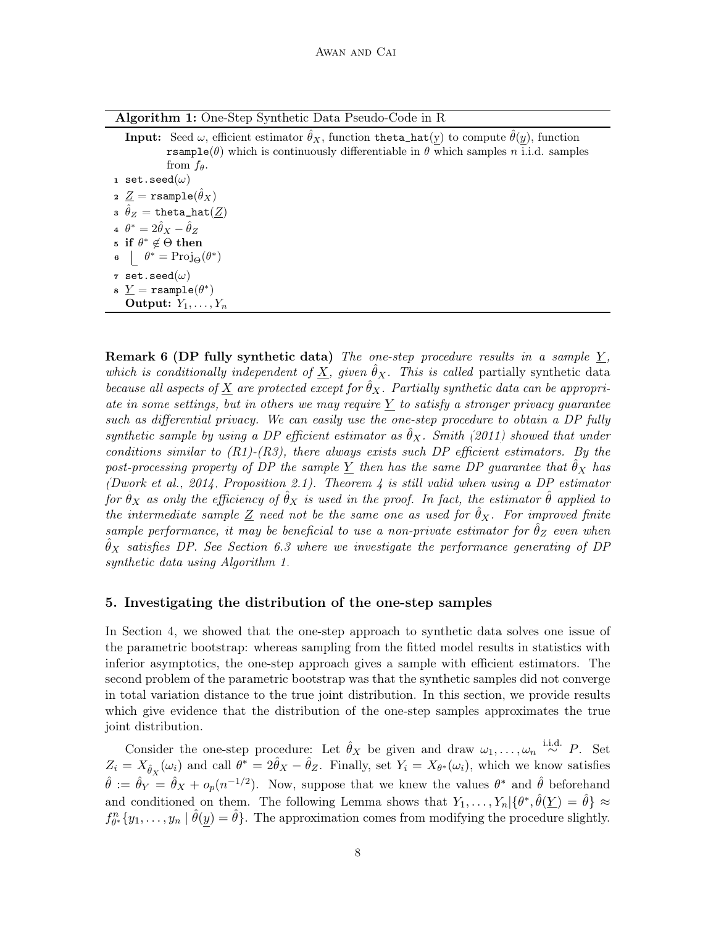| Algorithm 1: One-Step Synthetic Data Pseudo-Code in R |  |  |  |  |
|-------------------------------------------------------|--|--|--|--|
|                                                       |  |  |  |  |

<span id="page-7-1"></span>**Input:** Seed  $\omega$ , efficient estimator  $\hat{\theta}_X$ , function theta\_hat(y) to compute  $\hat{\theta}(y)$ , function rsample( $\theta$ ) which is continuously differentiable in  $\theta$  which samples n i.i.d. samples from  $f_{\theta}$ . 1 set.seed $(\omega)$  $\mathbf{z}\ \underline{Z}=\texttt{rsample}(\hat{\theta}_X)$  $\hat{\theta}_Z = \texttt{theta\_hat}(\underline{Z})$ 4  $\theta^* = 2\hat{\theta}_X - \hat{\theta}_Z$ 5 if  $θ$ <sup>\*</sup>  $∈$   $Θ$  then 6  $\theta^* = \text{Proj}_{\Theta}(\theta^*)$  $\tau$  set.seed $(\omega)$  $\mathbf{s} \underline{Y} = \mathtt{rsample}(\theta^*)$ Output:  $Y_1, \ldots, Y_n$ 

**Remark 6 (DP fully synthetic data)** The one-step procedure results in a sample  $Y$ , which is conditionally independent of  $\underline{X}$ , given  $\ddot{\theta}_X$ . This is called partially synthetic data because all aspects of  $\underline{X}$  are protected except for  $\hat{\theta}_X$ . Partially synthetic data can be appropriate in some settings, but in others we may require  $Y$  to satisfy a stronger privacy guarantee such as differential privacy. We can easily use the one-step procedure to obtain a DP fully synthetic sample by using a DP efficient estimator as  $\theta_X$ . [Smith](#page-31-6) [\(2011\)](#page-31-6) showed that under conditions similar to  $(R1)-(R3)$ , there always exists such DP efficient estimators. By the post-processing property of DP the sample  $\underline{Y}$  then has the same DP guarantee that  $\theta_X$  has [\(Dwork et al., 2014,](#page-28-9) Proposition 2.1). Theorem [4](#page-6-0) is still valid when using a DP estimator for  $\hat{\theta}_X$  as only the efficiency of  $\hat{\theta}_X$  is used in the proof. In fact, the estimator  $\hat{\theta}$  applied to the intermediate sample Z need not be the same one as used for  $\hat{\theta}_X$ . For improved finite sample performance, it may be beneficial to use a non-private estimator for  $\theta_Z$  even when  $\hat{\theta}_X$  satisfies DP. See Section [6.3](#page-11-0) where we investigate the performance generating of DP synthetic data using Algorithm [1.](#page-7-1)

## <span id="page-7-0"></span>5. Investigating the distribution of the one-step samples

In Section [4,](#page-4-1) we showed that the one-step approach to synthetic data solves one issue of the parametric bootstrap: whereas sampling from the fitted model results in statistics with inferior asymptotics, the one-step approach gives a sample with efficient estimators. The second problem of the parametric bootstrap was that the synthetic samples did not converge in total variation distance to the true joint distribution. In this section, we provide results which give evidence that the distribution of the one-step samples approximates the true joint distribution.

Consider the one-step procedure: Let  $\hat{\theta}_X$  be given and draw  $\omega_1, \ldots, \omega_n \stackrel{\text{i.i.d.}}{\sim} P$ . Set  $Z_i = X_{\hat{\theta}_X}(\omega_i)$  and call  $\theta^* = 2\hat{\theta}_X - \hat{\theta}_Z$ . Finally, set  $Y_i = X_{\theta^*}(\omega_i)$ , which we know satisfies  $\hat{\theta} := \hat{\theta}_Y = \hat{\theta}_X + o_p(n^{-1/2})$ . Now, suppose that we knew the values  $\theta^*$  and  $\hat{\theta}$  beforehand and conditioned on them. The following Lemma shows that  $Y_1, \ldots, Y_n | \{\theta^*, \hat{\theta}(\underline{Y}) = \hat{\theta}\} \approx$  $f_{\theta^*}^n\{y_1,\ldots,y_n\mid \hat{\theta}(\underline{y})=\hat{\theta}\}.$  The approximation comes from modifying the procedure slightly.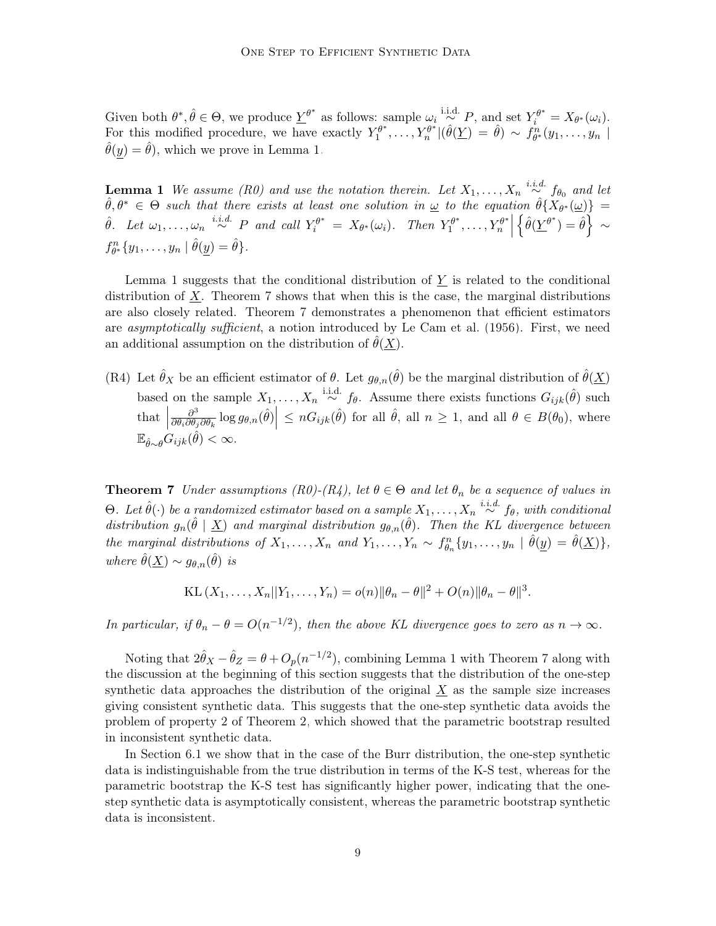Given both  $\theta^*, \hat{\theta} \in \Theta$ , we produce  $\underline{Y}^{\theta^*}$  as follows: sample  $\omega_i \stackrel{\text{i.i.d.}}{\sim} P$ , and set  $Y_i^{\theta^*} = X_{\theta^*}(\omega_i)$ . For this modified procedure, we have exactly  $Y_1^{\theta^*}$  $f_1^{\theta^*}, \ldots, Y_n^{\theta^*} | (\hat{\theta}(\underline{Y}) = \hat{\theta}) \sim f_{\theta^*}^n(y_1, \ldots, y_n)$  $\hat{\theta}(y) = \hat{\theta}$ , which we prove in Lemma [1.](#page-8-0)

<span id="page-8-0"></span>**Lemma 1** We assume (R0) and use the notation therein. Let  $X_1, \ldots, X_n \stackrel{i.i.d.}{\sim} f_{\theta_0}$  and let  $\hat{\theta}, \theta^* \in \Theta$  such that there exists at least one solution in  $\omega$  to the equation  $\hat{\theta} \{X_{\theta^*}(\omega)\}$  =  $\hat{\theta}$ . Let  $\omega_1, \ldots, \omega_n \stackrel{i.i.d.}{\sim} P$  and call  $Y_i^{\theta^*} = X_{\theta^*}(\omega_i)$ . Then  $Y_1^{\theta^*}$  $T_1^{\theta^*}, \ldots, Y_n^{\theta^*}$  $\left\{\hat{\theta}(\underline{Y}^{\theta^*})=\hat{\theta}\right\} \sim$  $f_{\theta^*}^n\{y_1,\ldots,y_n \mid \hat{\theta}(\underline{y})=\hat{\theta}\}.$ 

Lemma [1](#page-8-0) suggests that the conditional distribution of  $\underline{Y}$  is related to the conditional distribution of  $X$ . Theorem [7](#page-8-1) shows that when this is the case, the marginal distributions are also closely related. Theorem [7](#page-8-1) demonstrates a phenomenon that efficient estimators are *asymptotically sufficient*, a notion introduced by [Le Cam et al.](#page-29-11) [\(1956\)](#page-29-11). First, we need an additional assumption on the distribution of  $\theta(\underline{X})$ .

(R4) Let  $\hat{\theta}_X$  be an efficient estimator of  $\theta$ . Let  $g_{\theta,n}(\hat{\theta})$  be the marginal distribution of  $\hat{\theta}(\underline{X})$ based on the sample  $X_1, \ldots, X_n \stackrel{\text{i.i.d.}}{\sim} f_\theta$ . Assume there exists functions  $G_{ijk}(\hat{\theta})$  such that  $\Big|$  $\partial^3$  $\frac{\partial^3}{\partial \theta_i \partial \theta_j \partial \theta_k} \log g_{\theta,n}(\hat{\theta}) \leq nG_{ijk}(\hat{\theta})$  for all  $\hat{\theta}$ , all  $n \geq 1$ , and all  $\theta \in B(\theta_0)$ , where  $\mathbb{E}_{\hat{\theta}\sim\theta}G_{ijk}(\hat{\theta}) < \infty.$ 

<span id="page-8-1"></span>**Theorem 7** Under assumptions (R0)-(R4), let  $\theta \in \Theta$  and let  $\theta_n$  be a sequence of values in Θ. Let  $\hat{\theta}(\cdot)$  be a randomized estimator based on a sample  $X_1, \ldots, X_n \stackrel{i.i.d.}{\sim} f_{\theta}$ , with conditional distribution  $g_n(\hat{\theta} | \underline{X})$  and marginal distribution  $g_{\theta,n}(\hat{\theta})$ . Then the KL divergence between the marginal distributions of  $X_1, \ldots, X_n$  and  $Y_1, \ldots, Y_n \sim f_{\theta_n}^n \{y_1, \ldots, y_n \mid \hat{\theta}(\underline{y}) = \hat{\theta}(\underline{X})\},$ where  $\hat{\theta}(\underline{X}) \sim g_{\theta,n}(\hat{\theta})$  is

KL 
$$
(X_1, ..., X_n || Y_1, ..., Y_n) = o(n) ||\theta_n - \theta||^2 + O(n) ||\theta_n - \theta||^3
$$
.

In particular, if  $\theta_n - \theta = O(n^{-1/2})$ , then the above KL divergence goes to zero as  $n \to \infty$ .

Noting that  $2\hat{\theta}_X - \hat{\theta}_Z = \theta + O_p(n^{-1/2})$ , combining Lemma [1](#page-8-0) with Theorem [7](#page-8-1) along with the discussion at the beginning of this section suggests that the distribution of the one-step synthetic data approaches the distribution of the original  $X$  as the sample size increases giving consistent synthetic data. This suggests that the one-step synthetic data avoids the problem of property 2 of Theorem [2,](#page-4-0) which showed that the parametric bootstrap resulted in inconsistent synthetic data.

In Section [6.1](#page-9-1) we show that in the case of the Burr distribution, the one-step synthetic data is indistinguishable from the true distribution in terms of the K-S test, whereas for the parametric bootstrap the K-S test has significantly higher power, indicating that the onestep synthetic data is asymptotically consistent, whereas the parametric bootstrap synthetic data is inconsistent.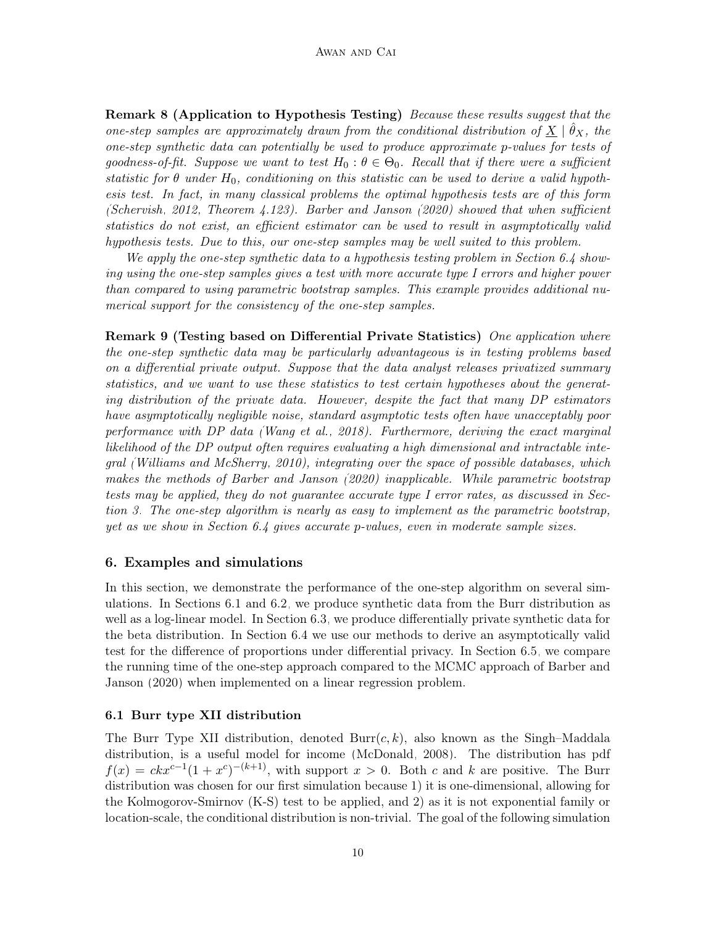Remark 8 (Application to Hypothesis Testing) Because these results suggest that the one-step samples are approximately drawn from the conditional distribution of  $\underline{X} \mid \hat{\theta}_X$ , the one-step synthetic data can potentially be used to produce approximate p-values for tests of goodness-of-fit. Suppose we want to test  $H_0: \theta \in \Theta_0$ . Recall that if there were a sufficient statistic for  $\theta$  under  $H_0$ , conditioning on this statistic can be used to derive a valid hypothesis test. In fact, in many classical problems the optimal hypothesis tests are of this form [\(Schervish, 2012,](#page-30-13) Theorem 4.123). [Barber and Janson](#page-27-0) [\(2020\)](#page-27-0) showed that when sufficient statistics do not exist, an efficient estimator can be used to result in asymptotically valid hypothesis tests. Due to this, our one-step samples may be well suited to this problem.

We apply the one-step synthetic data to a hypothesis testing problem in Section [6.4](#page-12-0) showing using the one-step samples gives a test with more accurate type I errors and higher power than compared to using parametric bootstrap samples. This example provides additional numerical support for the consistency of the one-step samples.

Remark 9 (Testing based on Differential Private Statistics) One application where the one-step synthetic data may be particularly advantageous is in testing problems based on a differential private output. Suppose that the data analyst releases privatized summary statistics, and we want to use these statistics to test certain hypotheses about the generating distribution of the private data. However, despite the fact that many DP estimators have asymptotically negligible noise, standard asymptotic tests often have unacceptably poor performance with DP data [\(Wang et al., 2018\)](#page-31-7). Furthermore, deriving the exact marginal likelihood of the DP output often requires evaluating a high dimensional and intractable integral [\(Williams and McSherry, 2010\)](#page-31-8), integrating over the space of possible databases, which makes the methods of [Barber and Janson](#page-27-0) [\(2020\)](#page-27-0) inapplicable. While parametric bootstrap tests may be applied, they do not guarantee accurate type I error rates, as discussed in Section [3.](#page-3-1) The one-step algorithm is nearly as easy to implement as the parametric bootstrap, yet as we show in Section [6.4](#page-12-0) gives accurate p-values, even in moderate sample sizes.

## <span id="page-9-0"></span>6. Examples and simulations

In this section, we demonstrate the performance of the one-step algorithm on several simulations. In Sections [6.1](#page-9-1) and [6.2,](#page-10-0) we produce synthetic data from the Burr distribution as well as a log-linear model. In Section [6.3,](#page-11-0) we produce differentially private synthetic data for the beta distribution. In Section [6.4](#page-12-0) we use our methods to derive an asymptotically valid test for the difference of proportions under differential privacy. In Section [6.5,](#page-13-0) we compare the running time of the one-step approach compared to the MCMC approach of [Barber and](#page-27-0) [Janson](#page-27-0) [\(2020\)](#page-27-0) when implemented on a linear regression problem.

### <span id="page-9-1"></span>6.1 Burr type XII distribution

The Burr Type XII distribution, denoted  $Burr(c, k)$ , also known as the Singh–Maddala distribution, is a useful model for income [\(McDonald, 2008\)](#page-30-14). The distribution has pdf  $f(x) = c k x^{c-1} (1+x^c)^{-(k+1)}$ , with support  $x > 0$ . Both c and k are positive. The Burr distribution was chosen for our first simulation because 1) it is one-dimensional, allowing for the Kolmogorov-Smirnov (K-S) test to be applied, and 2) as it is not exponential family or location-scale, the conditional distribution is non-trivial. The goal of the following simulation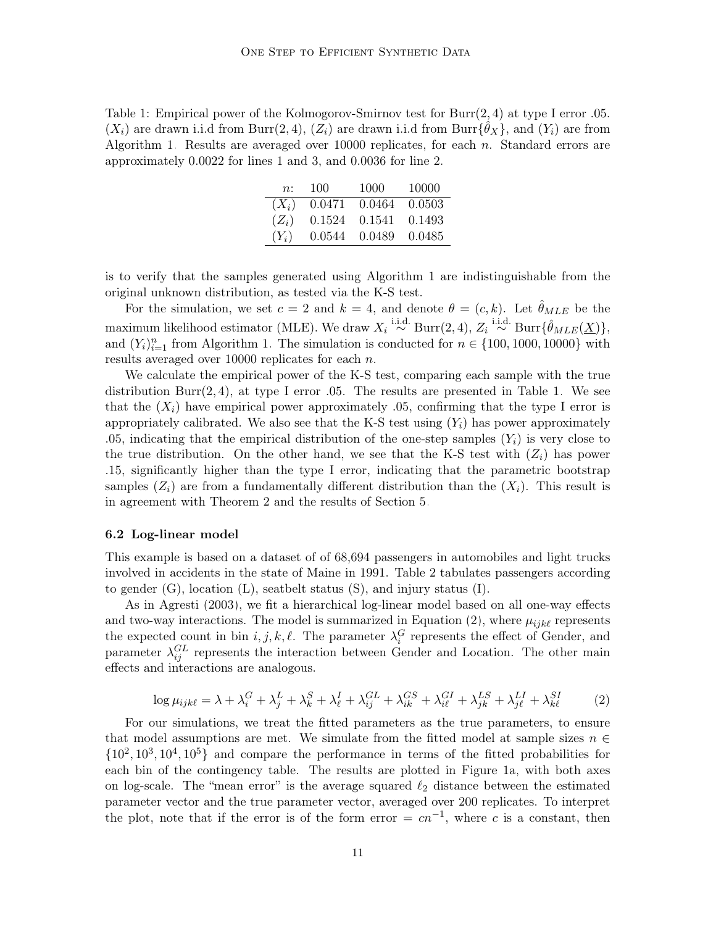<span id="page-10-1"></span>Table 1: Empirical power of the Kolmogorov-Smirnov test for Burr(2, 4) at type I error .05.  $(X_i)$  are drawn i.i.d from Burr $(2, 4)$ ,  $(Z_i)$  are drawn i.i.d from Burr $\{\hat{\theta}_X\}$ , and  $(Y_i)$  are from Algorithm [1.](#page-7-1) Results are averaged over  $10000$  replicates, for each n. Standard errors are approximately 0.0022 for lines 1 and 3, and 0.0036 for line 2.

| n:      | 100    | 1000   | 10000  |
|---------|--------|--------|--------|
| $(X_i)$ | 0.0471 | 0.0464 | 0.0503 |
| $(Z_i)$ | 0.1524 | 0.1541 | 0.1493 |
| $(Y_i)$ | 0.0544 | 0.0489 | 0.0485 |

is to verify that the samples generated using Algorithm [1](#page-7-1) are indistinguishable from the original unknown distribution, as tested via the K-S test.

For the simulation, we set  $c = 2$  and  $k = 4$ , and denote  $\theta = (c, k)$ . Let  $\hat{\theta}_{MLE}$  be the maximum likelihood estimator (MLE). We draw  $X_i \stackrel{\text{i.i.d.}}{\sim} \text{Burr}(2, 4), Z_i \stackrel{\text{i.i.d.}}{\sim} \text{Burr}\{\hat{\theta}_{MLE}(\underline{X})\},$ and  $(Y_i)_{i=1}^n$  from Algorithm [1.](#page-7-1) The simulation is conducted for  $n \in \{100, 1000, 10000\}$  with results averaged over 10000 replicates for each n.

We calculate the empirical power of the K-S test, comparing each sample with the true distribution Burr $(2, 4)$ , at type I error .05. The results are presented in Table [1.](#page-10-1) We see that the  $(X_i)$  have empirical power approximately .05, confirming that the type I error is appropriately calibrated. We also see that the K-S test using  $(Y_i)$  has power approximately .05, indicating that the empirical distribution of the one-step samples  $(Y_i)$  is very close to the true distribution. On the other hand, we see that the K-S test with  $(Z_i)$  has power .15, significantly higher than the type I error, indicating that the parametric bootstrap samples  $(Z_i)$  are from a fundamentally different distribution than the  $(X_i)$ . This result is in agreement with Theorem [2](#page-4-0) and the results of Section [5.](#page-7-0)

#### <span id="page-10-0"></span>6.2 Log-linear model

This example is based on a dataset of of 68,694 passengers in automobiles and light trucks involved in accidents in the state of Maine in 1991. Table [2](#page-11-1) tabulates passengers according to gender  $(G)$ , location  $(L)$ , seatbelt status  $(S)$ , and injury status  $(I)$ .

As in [Agresti](#page-27-1) [\(2003\)](#page-27-1), we fit a hierarchical log-linear model based on all one-way effects and two-way interactions. The model is summarized in Equation [\(2\)](#page-10-2), where  $\mu_{ijk\ell}$  represents the expected count in bin  $i, j, k, \ell$ . The parameter  $\lambda_i^G$  represents the effect of Gender, and parameter  $\lambda_{ij}^{GL}$  represents the interaction between Gender and Location. The other main effects and interactions are analogous.

$$
\log \mu_{ijk\ell} = \lambda + \lambda_i^G + \lambda_j^L + \lambda_k^S + \lambda_\ell^I + \lambda_{ij}^{GL} + \lambda_{ik}^{GS} + \lambda_{i\ell}^{GI} + \lambda_{jk}^{LS} + \lambda_{j\ell}^{LI} + \lambda_{k\ell}^{SI}
$$
 (2)

<span id="page-10-2"></span>For our simulations, we treat the fitted parameters as the true parameters, to ensure that model assumptions are met. We simulate from the fitted model at sample sizes  $n \in$  $\{10^2, 10^3, 10^4, 10^5\}$  and compare the performance in terms of the fitted probabilities for each bin of the contingency table. The results are plotted in Figure [1a,](#page-12-1) with both axes on log-scale. The "mean error" is the average squared  $\ell_2$  distance between the estimated parameter vector and the true parameter vector, averaged over 200 replicates. To interpret the plot, note that if the error is of the form error =  $cn^{-1}$ , where c is a constant, then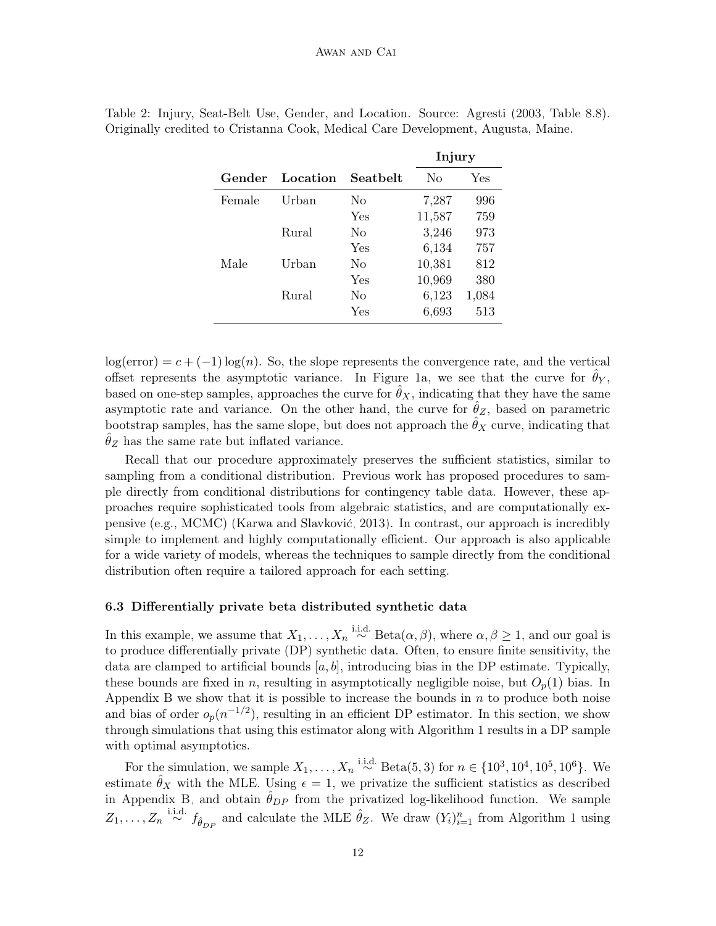|        |          |          | mjury  |       |
|--------|----------|----------|--------|-------|
| Gender | Location | Seatbelt | No     | Yes   |
| Female | Urban    | No       | 7,287  | 996   |
|        |          | Yes      | 11,587 | 759   |
|        | Rural    | No       | 3,246  | 973   |
|        |          | Yes      | 6,134  | 757   |
| Male   | Urban    | No       | 10,381 | 812   |
|        |          | Yes      | 10,969 | 380   |
|        | Rural    | No       | 6,123  | 1,084 |
|        |          | Yes      | 6,693  | 513   |

<span id="page-11-1"></span>Table 2: Injury, Seat-Belt Use, Gender, and Location. Source: [Agresti](#page-27-1) [\(2003,](#page-27-1) Table 8.8). Originally credited to Cristanna Cook, Medical Care Development, Augusta, Maine.

 $\mathbf{r}$ .

 $log(error) = c + (-1)log(n)$ . So, the slope represents the convergence rate, and the vertical offset represents the asymptotic variance. In Figure [1a,](#page-12-1) we see that the curve for  $\hat{\theta}_Y$ , based on one-step samples, approaches the curve for  $\ddot{\theta}_X$ , indicating that they have the same asymptotic rate and variance. On the other hand, the curve for  $\theta_Z$ , based on parametric bootstrap samples, has the same slope, but does not approach the  $\theta_X$  curve, indicating that  $\theta_Z$  has the same rate but inflated variance.

Recall that our procedure approximately preserves the sufficient statistics, similar to sampling from a conditional distribution. Previous work has proposed procedures to sample directly from conditional distributions for contingency table data. However, these approaches require sophisticated tools from algebraic statistics, and are computationally expensive (e.g., MCMC) [\(Karwa and Slavković, 2013\)](#page-29-3). In contrast, our approach is incredibly simple to implement and highly computationally efficient. Our approach is also applicable for a wide variety of models, whereas the techniques to sample directly from the conditional distribution often require a tailored approach for each setting.

## <span id="page-11-0"></span>6.3 Differentially private beta distributed synthetic data

In this example, we assume that  $X_1, \ldots, X_n \stackrel{\text{i.i.d.}}{\sim} \text{Beta}(\alpha, \beta)$ , where  $\alpha, \beta \ge 1$ , and our goal is to produce differentially private (DP) synthetic data. Often, to ensure finite sensitivity, the data are clamped to artificial bounds  $[a, b]$ , introducing bias in the DP estimate. Typically, these bounds are fixed in n, resulting in asymptotically negligible noise, but  $O_p(1)$  bias. In Appendix [B](#page-3-0) we show that it is possible to increase the bounds in  $n$  to produce both noise and bias of order  $o_p(n^{-1/2})$ , resulting in an efficient DP estimator. In this section, we show through simulations that using this estimator along with Algorithm [1](#page-7-1) results in a DP sample with optimal asymptotics.

For the simulation, we sample  $X_1, ..., X_n \stackrel{\text{i.i.d.}}{\sim} \text{Beta}(5, 3)$  for  $n \in \{10^3, 10^4, 10^5, 10^6\}$ . We estimate  $\hat{\theta}_X$  with the MLE. Using  $\epsilon = 1$ , we privatize the sufficient statistics as described in Appendix [B,](#page-3-0) and obtain  $\hat{\theta}_{DP}$  from the privatized log-likelihood function. We sample  $Z_1, \ldots, Z_n \stackrel{\text{i.i.d.}}{\sim} f_{\hat{\theta}_{DP}}$  and calculate the MLE  $\hat{\theta}_Z$ . We draw  $(Y_i)_{i=1}^n$  from Algorithm [1](#page-7-1) using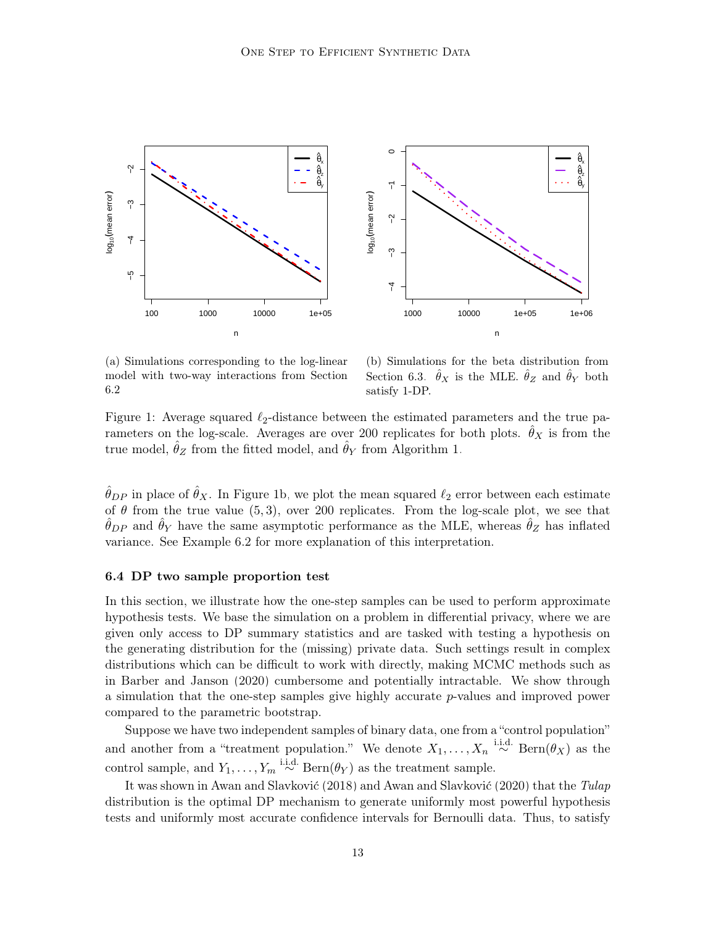<span id="page-12-1"></span>

(a) Simulations corresponding to the log-linear model with two-way interactions from Section [6.2](#page-10-0)

(b) Simulations for the beta distribution from Section [6.3.](#page-11-0)  $\hat{\theta}_X$  is the MLE.  $\hat{\theta}_Z$  and  $\hat{\theta}_Y$  both satisfy 1-DP.

Figure 1: Average squared  $\ell_2$ -distance between the estimated parameters and the true parameters on the log-scale. Averages are over 200 replicates for both plots.  $\hat{\theta}_X$  is from the true model,  $\theta_Z$  from the fitted model, and  $\theta_Y$  from Algorithm [1.](#page-7-1)

 $\hat{\theta}_{DP}$  in place of  $\hat{\theta}_X$ . In Figure [1b,](#page-12-1) we plot the mean squared  $\ell_2$  error between each estimate of  $\theta$  from the true value (5,3), over 200 replicates. From the log-scale plot, we see that  $\hat{\theta}_{DP}$  and  $\hat{\theta}_Y$  have the same asymptotic performance as the MLE, whereas  $\hat{\theta}_Z$  has inflated variance. See Example [6.2](#page-10-0) for more explanation of this interpretation.

#### <span id="page-12-0"></span>6.4 DP two sample proportion test

In this section, we illustrate how the one-step samples can be used to perform approximate hypothesis tests. We base the simulation on a problem in differential privacy, where we are given only access to DP summary statistics and are tasked with testing a hypothesis on the generating distribution for the (missing) private data. Such settings result in complex distributions which can be difficult to work with directly, making MCMC methods such as in [Barber and Janson](#page-27-0) [\(2020\)](#page-27-0) cumbersome and potentially intractable. We show through a simulation that the one-step samples give highly accurate p-values and improved power compared to the parametric bootstrap.

Suppose we have two independent samples of binary data, one from a "control population" and another from a "treatment population." We denote  $X_1, \ldots, X_n \stackrel{\text{i.i.d.}}{\sim} \text{Bern}(\theta_X)$  as the control sample, and  $Y_1, \ldots, Y_m \stackrel{\text{i.i.d.}}{\sim} \text{Bern}(\theta_Y)$  as the treatment sample.

It was shown in [Awan and Slavković](#page-27-2) [\(2018\)](#page-27-2) and [Awan and Slavković](#page-27-3) [\(2020\)](#page-27-3) that the Tulap distribution is the optimal DP mechanism to generate uniformly most powerful hypothesis tests and uniformly most accurate confidence intervals for Bernoulli data. Thus, to satisfy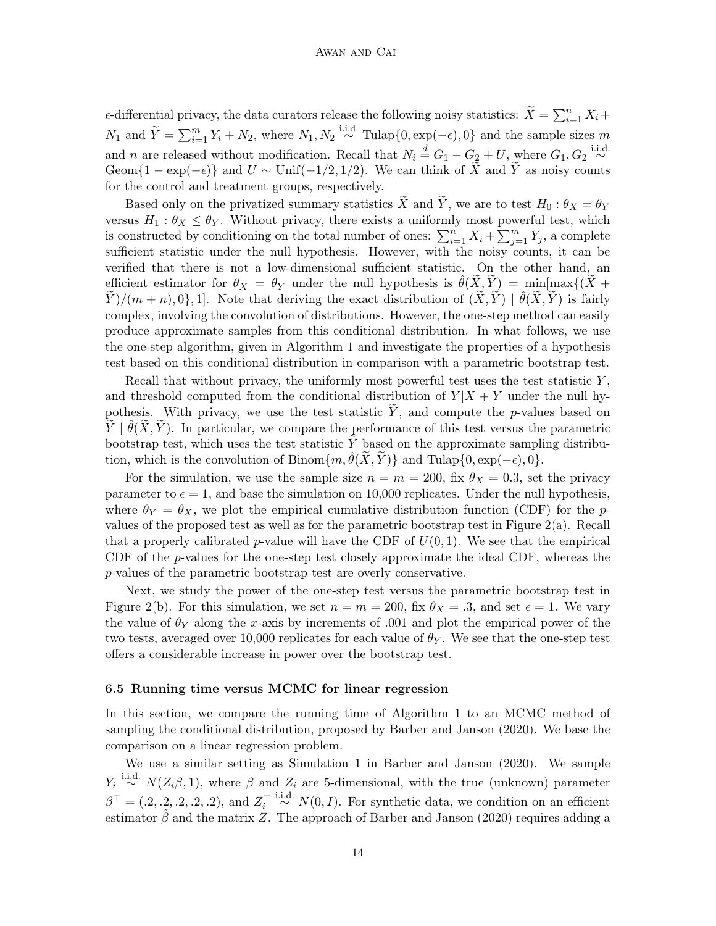$\epsilon$ -differential privacy, the data curators release the following noisy statistics:  $\widetilde{X} = \sum_{i=1}^{n} X_i +$  $N_1$  and  $\widetilde{Y} = \sum_{i=1}^m Y_i + N_2$ , where  $N_1, N_2 \stackrel{\text{i.i.d.}}{\sim} \text{Tulap}\{0, \exp(-\epsilon), 0\}$  and the sample sizes m and *n* are released without modification. Recall that  $N_i \stackrel{d}{=} G_1 - G_2 + U$ , where  $G_1, G_2 \stackrel{\text{i.i.d.}}{\sim}$ Geom $\{1 - \exp(-\epsilon)\}\$ and  $U \sim \text{Unif}(-1/2, 1/2)$ . We can think of X and Y as noisy counts for the control and treatment groups, respectively.

Based only on the privatized summary statistics  $\widetilde{X}$  and  $\widetilde{Y}$ , we are to test  $H_0 : \theta_X = \theta_Y$ versus  $H_1: \theta_X \leq \theta_Y$ . Without privacy, there exists a uniformly most powerful test, which is constructed by conditioning on the total number of ones:  $\sum_{i=1}^{n} X_i + \sum_{j=1}^{m} Y_j$ , a complete sufficient statistic under the null hypothesis. However, with the noisy counts, it can be verified that there is not a low-dimensional sufficient statistic. On the other hand, an efficient estimator for  $\theta_X = \theta_Y$  under the null hypothesis is  $\hat{\theta}(X, Y) = \min[\max\{(X +$  $(\widetilde{Y})/(m+n), 0$ , 1]. Note that deriving the exact distribution of  $(\widetilde{X}, \widetilde{Y}) \mid \hat{\theta}(\widetilde{X}, \widetilde{Y})$  is fairly complex, involving the convolution of distributions. However, the one-step method can easily produce approximate samples from this conditional distribution. In what follows, we use the one-step algorithm, given in Algorithm [1](#page-7-1) and investigate the properties of a hypothesis test based on this conditional distribution in comparison with a parametric bootstrap test.

Recall that without privacy, the uniformly most powerful test uses the test statistic  $Y$ , and threshold computed from the conditional distribution of  $Y|X + Y$  under the null hypothesis. With privacy, we use the test statistic  $\tilde{Y}$ , and compute the p-values based on  $\widetilde{Y} \mid \hat{\theta}(\widetilde{X}, \widetilde{Y})$ . In particular, we compare the performance of this test versus the parametric bootstrap test, which uses the test statistic  $\widetilde{Y}$  based on the approximate sampling distribution, which is the convolution of Binom $\{m, \hat{\theta}(X, Y)\}\$ and Tulap $\{0, \exp(-\epsilon), 0\}.$ 

For the simulation, we use the sample size  $n = m = 200$ , fix  $\theta_X = 0.3$ , set the privacy parameter to  $\epsilon = 1$ , and base the simulation on 10,000 replicates. Under the null hypothesis, where  $\theta_Y = \theta_X$ , we plot the empirical cumulative distribution function (CDF) for the pvalues of the proposed test as well as for the parametric bootstrap test in Figure [2\(](#page-14-0)a). Recall that a properly calibrated p-value will have the CDF of  $U(0, 1)$ . We see that the empirical CDF of the p-values for the one-step test closely approximate the ideal CDF, whereas the p-values of the parametric bootstrap test are overly conservative.

Next, we study the power of the one-step test versus the parametric bootstrap test in Figure [2\(](#page-14-0)b). For this simulation, we set  $n = m = 200$ , fix  $\theta_X = .3$ , and set  $\epsilon = 1$ . We vary the value of  $\theta_Y$  along the x-axis by increments of .001 and plot the empirical power of the two tests, averaged over 10,000 replicates for each value of  $\theta_Y$ . We see that the one-step test offers a considerable increase in power over the bootstrap test.

#### <span id="page-13-0"></span>6.5 Running time versus MCMC for linear regression

In this section, we compare the running time of Algorithm [1](#page-7-1) to an MCMC method of sampling the conditional distribution, proposed by [Barber and Janson](#page-27-0) [\(2020\)](#page-27-0). We base the comparison on a linear regression problem.

We use a similar setting as Simulation 1 in [Barber and Janson](#page-27-0) [\(2020\)](#page-27-0). We sample  $Y_i \stackrel{\text{i.i.d.}}{\sim} N(Z_i \beta, 1)$ , where  $\beta$  and  $Z_i$  are 5-dimensional, with the true (unknown) parameter  $\beta^{\top} = (0.2, 0.2, 0.2, 0.2)$ , and  $Z_i^{\top} \stackrel{\text{i.i.d.}}{\sim} N(0, I)$ . For synthetic data, we condition on an efficient estimator  $\hat{\beta}$  and the matrix Z. The approach of [Barber and Janson](#page-27-0) [\(2020\)](#page-27-0) requires adding a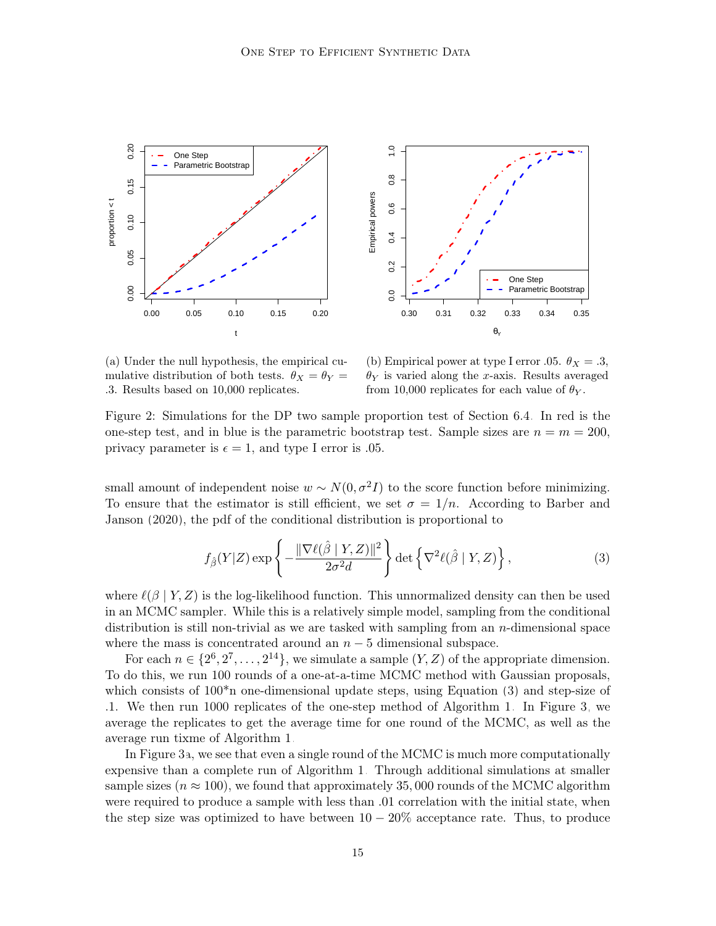<span id="page-14-0"></span>

(a) Under the null hypothesis, the empirical cumulative distribution of both tests.  $\theta_X = \theta_Y =$ .3. Results based on 10,000 replicates.

<span id="page-14-1"></span>(b) Empirical power at type I error .05.  $\theta_X = .3$ ,  $\theta_Y$  is varied along the x-axis. Results averaged from 10,000 replicates for each value of  $\theta_Y$ .

Figure 2: Simulations for the DP two sample proportion test of Section [6.4.](#page-12-0) In red is the one-step test, and in blue is the parametric bootstrap test. Sample sizes are  $n = m = 200$ , privacy parameter is  $\epsilon = 1$ , and type I error is 0.05.

small amount of independent noise  $w \sim N(0, \sigma^2 I)$  to the score function before minimizing. To ensure that the estimator is still efficient, we set  $\sigma = 1/n$ . According to [Barber and](#page-27-0) [Janson](#page-27-0) [\(2020\)](#page-27-0), the pdf of the conditional distribution is proportional to

$$
f_{\hat{\beta}}(Y|Z) \exp\left\{-\frac{\|\nabla \ell(\hat{\beta} \mid Y, Z)\|^2}{2\sigma^2 d}\right\} \det\left\{\nabla^2 \ell(\hat{\beta} \mid Y, Z)\right\},\tag{3}
$$

where  $\ell(\beta | Y, Z)$  is the log-likelihood function. This unnormalized density can then be used in an MCMC sampler. While this is a relatively simple model, sampling from the conditional distribution is still non-trivial as we are tasked with sampling from an n-dimensional space where the mass is concentrated around an  $n-5$  dimensional subspace.

For each  $n \in \{2^6, 2^7, \ldots, 2^{14}\},$  we simulate a sample  $(Y, Z)$  of the appropriate dimension. To do this, we run 100 rounds of a one-at-a-time MCMC method with Gaussian proposals, which consists of  $100<sup>*</sup>$  one-dimensional update steps, using Equation [\(3\)](#page-14-1) and step-size of .1. We then run 1000 replicates of the one-step method of Algorithm [1.](#page-7-1) In Figure [3,](#page-15-0) we average the replicates to get the average time for one round of the MCMC, as well as the average run tixme of Algorithm [1.](#page-7-1)

In Figure [3a](#page-15-0), we see that even a single round of the MCMC is much more computationally expensive than a complete run of Algorithm [1.](#page-7-1) Through additional simulations at smaller sample sizes ( $n \approx 100$ ), we found that approximately 35,000 rounds of the MCMC algorithm were required to produce a sample with less than .01 correlation with the initial state, when the step size was optimized to have between  $10 - 20\%$  acceptance rate. Thus, to produce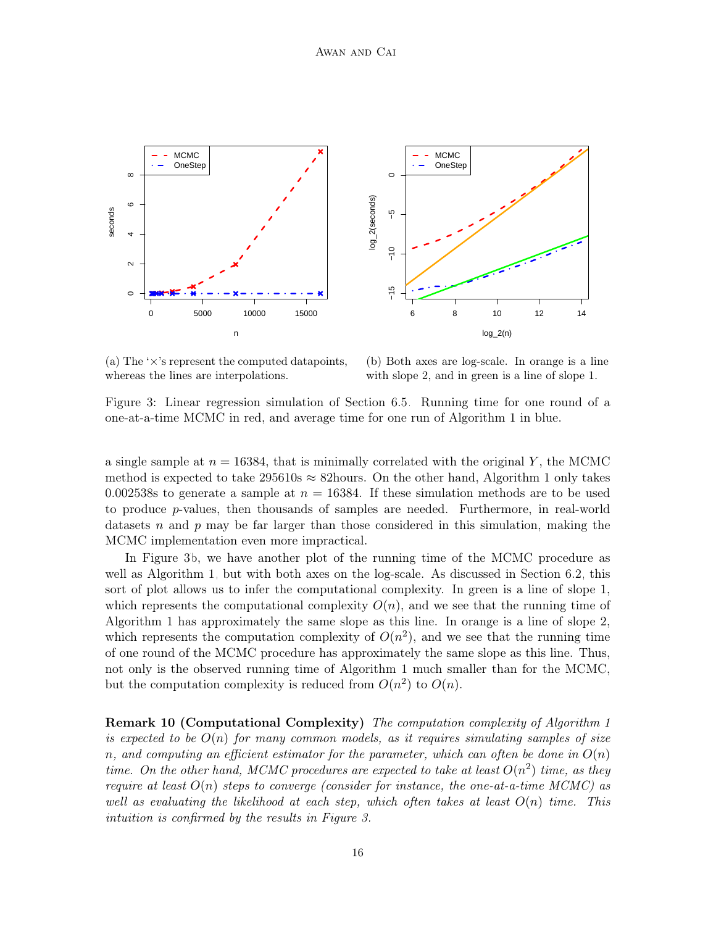<span id="page-15-0"></span>



(a) The  $\forall x$ 's represent the computed datapoints, whereas the lines are interpolations.

(b) Both axes are log-scale. In orange is a line with slope 2, and in green is a line of slope 1.

Figure 3: Linear regression simulation of Section [6.5.](#page-13-0) Running time for one round of a one-at-a-time MCMC in red, and average time for one run of Algorithm [1](#page-7-1) in blue.

a single sample at  $n = 16384$ , that is minimally correlated with the original Y, the MCMC method is expected to take 295610s  $\approx$  82 hours. On the other hand, Algorithm [1](#page-7-1) only takes 0.002538s to generate a sample at  $n = 16384$ . If these simulation methods are to be used to produce p-values, then thousands of samples are needed. Furthermore, in real-world datasets n and p may be far larger than those considered in this simulation, making the MCMC implementation even more impractical.

In Figure [3b](#page-15-0), we have another plot of the running time of the MCMC procedure as well as Algorithm [1,](#page-7-1) but with both axes on the log-scale. As discussed in Section [6.2,](#page-10-0) this sort of plot allows us to infer the computational complexity. In green is a line of slope 1, which represents the computational complexity  $O(n)$ , and we see that the running time of Algorithm [1](#page-7-1) has approximately the same slope as this line. In orange is a line of slope 2, which represents the computation complexity of  $O(n^2)$ , and we see that the running time of one round of the MCMC procedure has approximately the same slope as this line. Thus, not only is the observed running time of Algorithm [1](#page-7-1) much smaller than for the MCMC, but the computation complexity is reduced from  $O(n^2)$  to  $O(n)$ .

Remark [1](#page-7-1)0 (Computational Complexity) The computation complexity of Algorithm 1 is expected to be  $O(n)$  for many common models, as it requires simulating samples of size n, and computing an efficient estimator for the parameter, which can often be done in  $O(n)$ time. On the other hand, MCMC procedures are expected to take at least  $O(n^2)$  time, as they require at least  $O(n)$  steps to converge (consider for instance, the one-at-a-time MCMC) as well as evaluating the likelihood at each step, which often takes at least  $O(n)$  time. This intuition is confirmed by the results in Figure [3.](#page-15-0)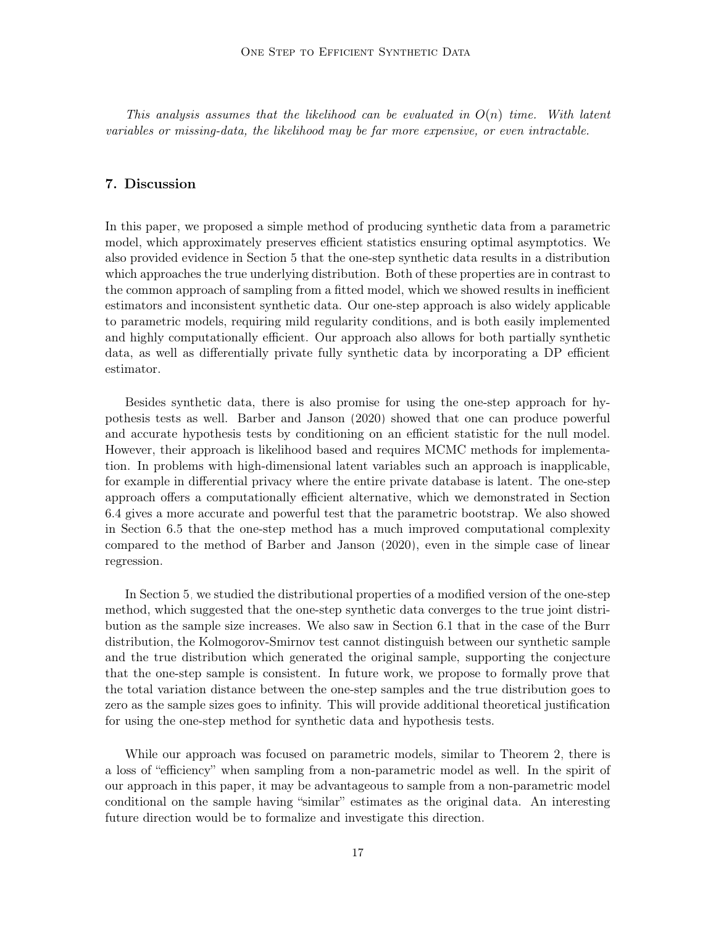This analysis assumes that the likelihood can be evaluated in  $O(n)$  time. With latent variables or missing-data, the likelihood may be far more expensive, or even intractable.

## <span id="page-16-0"></span>7. Discussion

In this paper, we proposed a simple method of producing synthetic data from a parametric model, which approximately preserves efficient statistics ensuring optimal asymptotics. We also provided evidence in Section [5](#page-7-0) that the one-step synthetic data results in a distribution which approaches the true underlying distribution. Both of these properties are in contrast to the common approach of sampling from a fitted model, which we showed results in inefficient estimators and inconsistent synthetic data. Our one-step approach is also widely applicable to parametric models, requiring mild regularity conditions, and is both easily implemented and highly computationally efficient. Our approach also allows for both partially synthetic data, as well as differentially private fully synthetic data by incorporating a DP efficient estimator.

Besides synthetic data, there is also promise for using the one-step approach for hypothesis tests as well. [Barber and Janson](#page-27-0) [\(2020\)](#page-27-0) showed that one can produce powerful and accurate hypothesis tests by conditioning on an efficient statistic for the null model. However, their approach is likelihood based and requires MCMC methods for implementation. In problems with high-dimensional latent variables such an approach is inapplicable, for example in differential privacy where the entire private database is latent. The one-step approach offers a computationally efficient alternative, which we demonstrated in Section [6.4](#page-12-0) gives a more accurate and powerful test that the parametric bootstrap. We also showed in Section [6.5](#page-13-0) that the one-step method has a much improved computational complexity compared to the method of [Barber and Janson](#page-27-0) [\(2020\)](#page-27-0), even in the simple case of linear regression.

In Section [5,](#page-7-0) we studied the distributional properties of a modified version of the one-step method, which suggested that the one-step synthetic data converges to the true joint distribution as the sample size increases. We also saw in Section [6.1](#page-9-1) that in the case of the Burr distribution, the Kolmogorov-Smirnov test cannot distinguish between our synthetic sample and the true distribution which generated the original sample, supporting the conjecture that the one-step sample is consistent. In future work, we propose to formally prove that the total variation distance between the one-step samples and the true distribution goes to zero as the sample sizes goes to infinity. This will provide additional theoretical justification for using the one-step method for synthetic data and hypothesis tests.

While our approach was focused on parametric models, similar to Theorem [2,](#page-4-0) there is a loss of "efficiency" when sampling from a non-parametric model as well. In the spirit of our approach in this paper, it may be advantageous to sample from a non-parametric model conditional on the sample having "similar" estimates as the original data. An interesting future direction would be to formalize and investigate this direction.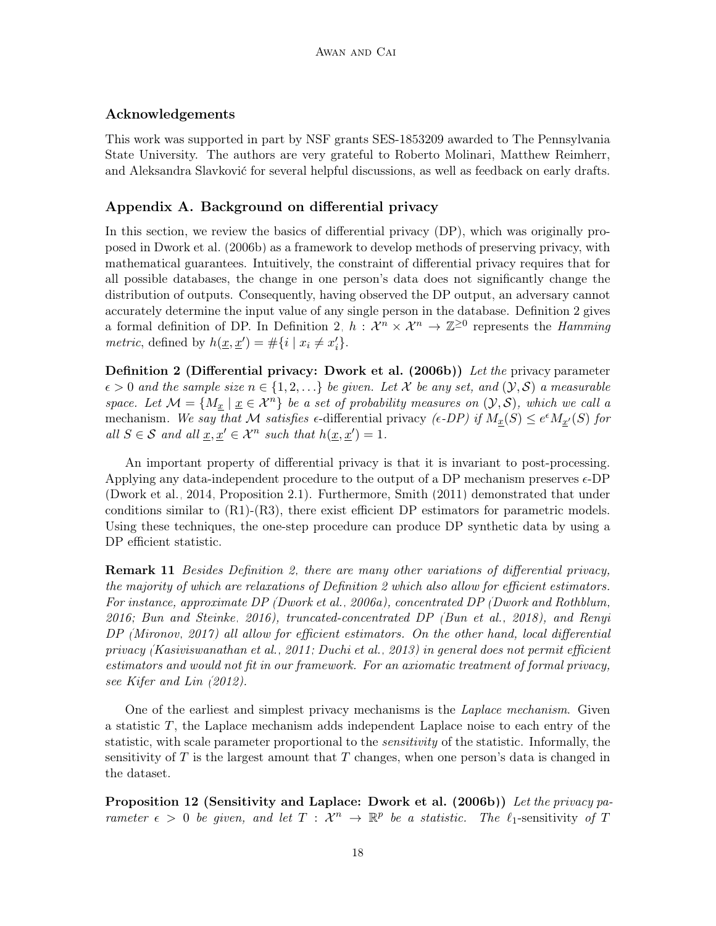# Acknowledgements

This work was supported in part by NSF grants SES-1853209 awarded to The Pennsylvania State University. The authors are very grateful to Roberto Molinari, Matthew Reimherr, and Aleksandra Slavković for several helpful discussions, as well as feedback on early drafts.

# Appendix A. Background on differential privacy

In this section, we review the basics of differential privacy (DP), which was originally proposed in [Dwork et al.](#page-28-0) [\(2006b\)](#page-28-0) as a framework to develop methods of preserving privacy, with mathematical guarantees. Intuitively, the constraint of differential privacy requires that for all possible databases, the change in one person's data does not significantly change the distribution of outputs. Consequently, having observed the DP output, an adversary cannot accurately determine the input value of any single person in the database. Definition [2](#page-17-0) gives a formal definition of DP. In Definition [2,](#page-17-0)  $h: \mathcal{X}^n \times \mathcal{X}^n \to \mathbb{Z}^{\geq 0}$  represents the *Hamming metric*, defined by  $h(\underline{x}, \underline{x}') = \#\{i \mid x_i \neq x'_i\}.$ 

<span id="page-17-0"></span>**Definition 2 (Differential privacy: [Dwork et al.](#page-28-0) [\(2006b\)](#page-28-0))** Let the privacy parameter  $\epsilon > 0$  and the sample size  $n \in \{1, 2, ...\}$  be given. Let X be any set, and  $(\mathcal{Y}, \mathcal{S})$  a measurable space. Let  $\mathcal{M} = \{M_{\underline{x}} \mid \underline{x} \in \mathcal{X}^n\}$  be a set of probability measures on  $(\mathcal{Y}, \mathcal{S})$ , which we call a mechanism. We say that M satisfies  $\epsilon$ -differential privacy ( $\epsilon$ -DP) if  $M_{\underline{x}}(S) \leq e^{\epsilon} M_{\underline{x}'}(S)$  for all  $S \in \mathcal{S}$  and all  $\underline{x}, \underline{x}' \in \mathcal{X}^n$  such that  $h(\underline{x}, \underline{x}') = 1$ .

An important property of differential privacy is that it is invariant to post-processing. Applying any data-independent procedure to the output of a DP mechanism preserves  $\epsilon$ -DP [\(Dwork et al., 2014,](#page-28-9) Proposition 2.1). Furthermore, [Smith](#page-31-6) [\(2011\)](#page-31-6) demonstrated that under conditions similar to (R1)-(R3), there exist efficient DP estimators for parametric models. Using these techniques, the one-step procedure can produce DP synthetic data by using a DP efficient statistic.

**Remark 11** Besides Definition [2,](#page-17-0) there are many other variations of differential privacy, the majority of which are relaxations of Definition [2](#page-17-0) which also allow for efficient estimators. For instance, approximate DP [\(Dwork et al., 2006a\)](#page-28-10), concentrated DP [\(Dwork and Rothblum,](#page-28-11) [2016;](#page-28-11) [Bun and Steinke, 2016\)](#page-27-4), truncated-concentrated DP [\(Bun et al., 2018\)](#page-28-12), and Renyi DP [\(Mironov, 2017\)](#page-30-15) all allow for efficient estimators. On the other hand, local differential privacy [\(Kasiviswanathan et al., 2011;](#page-29-12) [Duchi et al., 2013\)](#page-28-13) in general does not permit efficient estimators and would not fit in our framework. For an axiomatic treatment of formal privacy, see [Kifer and Lin](#page-29-13) [\(2012\)](#page-29-13).

One of the earliest and simplest privacy mechanisms is the Laplace mechanism. Given a statistic  $T$ , the Laplace mechanism adds independent Laplace noise to each entry of the statistic, with scale parameter proportional to the *sensitivity* of the statistic. Informally, the sensitivity of  $T$  is the largest amount that  $T$  changes, when one person's data is changed in the dataset.

Proposition 12 (Sensitivity and Laplace: [Dwork et al.](#page-28-0) [\(2006b\)](#page-28-0)) Let the privacy parameter  $\epsilon > 0$  be given, and let  $T : \mathcal{X}^n \to \mathbb{R}^p$  be a statistic. The  $\ell_1$ -sensitivity of T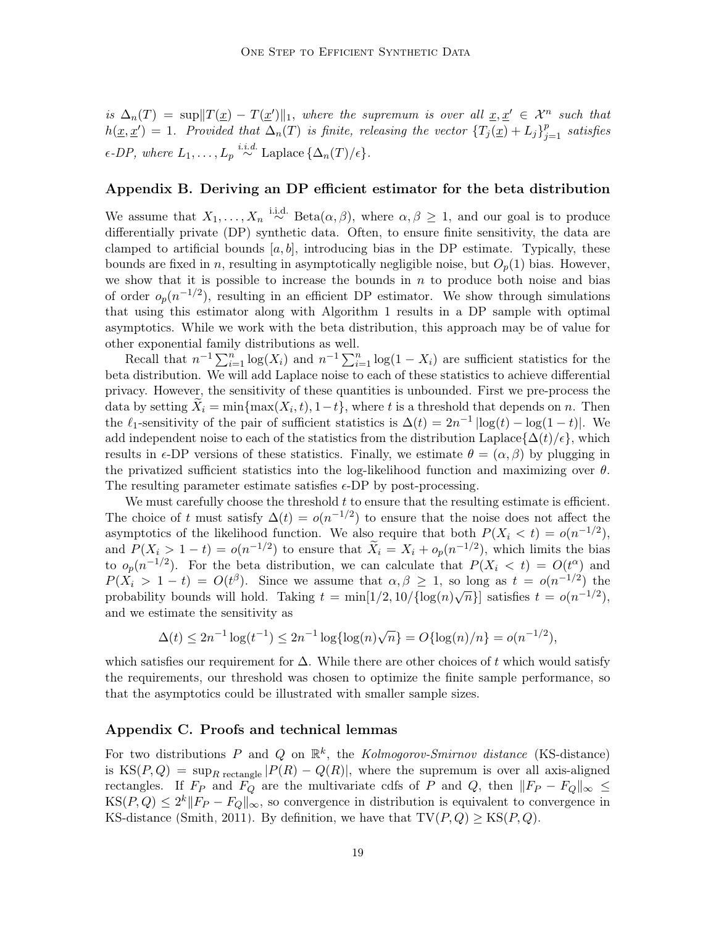is  $\Delta_n(T) = \sup \|T(\underline{x}) - T(\underline{x}')\|_1$ , where the supremum is over all  $\underline{x}, \underline{x}' \in \mathcal{X}^n$  such that  $h(\underline{x}, \underline{x}') = 1$ . Provided that  $\Delta_n(T)$  is finite, releasing the vector  ${T_j(\underline{x}) + L_j}_{j=1}^p$  satisfies  $\epsilon$ -DP, where  $L_1, \ldots, L_p \stackrel{i.i.d.}{\sim} \text{Laplace}\left\{ \Delta_n(T)/\epsilon \right\}$ .

# Appendix B. Deriving an DP efficient estimator for the beta distribution

We assume that  $X_1, \ldots, X_n \stackrel{\text{i.i.d.}}{\sim} \text{Beta}(\alpha, \beta)$ , where  $\alpha, \beta \geq 1$ , and our goal is to produce differentially private (DP) synthetic data. Often, to ensure finite sensitivity, the data are clamped to artificial bounds  $[a, b]$ , introducing bias in the DP estimate. Typically, these bounds are fixed in n, resulting in asymptotically negligible noise, but  $O_p(1)$  bias. However, we show that it is possible to increase the bounds in  $n$  to produce both noise and bias of order  $o_p(n^{-1/2})$ , resulting in an efficient DP estimator. We show through simulations that using this estimator along with Algorithm [1](#page-7-1) results in a DP sample with optimal asymptotics. While we work with the beta distribution, this approach may be of value for other exponential family distributions as well.

Recall that  $n^{-1} \sum_{i=1}^{n} \log(X_i)$  and  $n^{-1} \sum_{i=1}^{n} \log(1 - X_i)$  are sufficient statistics for the beta distribution. We will add Laplace noise to each of these statistics to achieve differential privacy. However, the sensitivity of these quantities is unbounded. First we pre-process the data by setting  $X_i = \min\{\max(X_i, t), 1-t\}$ , where t is a threshold that depends on n. Then the  $\ell_1$ -sensitivity of the pair of sufficient statistics is  $\Delta(t) = 2n^{-1} \left| \log(t) - \log(1-t) \right|$ . We add independent noise to each of the statistics from the distribution Laplace{ $\Delta(t)/\epsilon$ }, which results in  $\epsilon$ -DP versions of these statistics. Finally, we estimate  $\theta = (\alpha, \beta)$  by plugging in the privatized sufficient statistics into the log-likelihood function and maximizing over  $\theta$ . The resulting parameter estimate satisfies  $\epsilon$ -DP by post-processing.

We must carefully choose the threshold  $t$  to ensure that the resulting estimate is efficient. The choice of t must satisfy  $\Delta(t) = o(n^{-1/2})$  to ensure that the noise does not affect the asymptotics of the likelihood function. We also require that both  $P(X_i < t) = o(n^{-1/2}),$ and  $P(X_i > 1 - t) = o(n^{-1/2})$  to ensure that  $\widetilde{X}_i = X_i + o_p(n^{-1/2})$ , which limits the bias to  $o_p(n^{-1/2})$ . For the beta distribution, we can calculate that  $P(X_i \lt t) = O(t^{\alpha})$  and  $P(X_i > 1-t) = O(t^{\beta})$ . Since we assume that  $\alpha, \beta \geq 1$ , so long as  $t = o(n^{-1/2})$  the probability bounds will hold. Taking  $t = \min[1/2, 10/\{\log(n)\sqrt{n}\}]$  satisfies  $t = o(n^{-1/2})$ , and we estimate the sensitivity as

$$
\Delta(t) \le 2n^{-1} \log(t^{-1}) \le 2n^{-1} \log\{\log(n)\sqrt{n}\} = O\{\log(n)/n\} = o(n^{-1/2}),
$$

which satisfies our requirement for  $\Delta$ . While there are other choices of t which would satisfy the requirements, our threshold was chosen to optimize the finite sample performance, so that the asymptotics could be illustrated with smaller sample sizes.

## Appendix C. Proofs and technical lemmas

For two distributions P and Q on  $\mathbb{R}^k$ , the Kolmogorov-Smirnov distance (KS-distance) is KS(P, Q) = sup<sub>R rectangle</sub>  $|P(R) - Q(R)|$ , where the supremum is over all axis-aligned rectangles. If  $F_P$  and  $F_Q$  are the multivariate cdfs of P and Q, then  $||F_P - F_Q||_{\infty} \le$  $\text{KS}(P,Q) \leq 2^k \|F_P - F_Q\|_{\infty}$ , so convergence in distribution is equivalent to convergence in KS-distance [\(Smith, 2011\)](#page-31-6). By definition, we have that  $TV(P,Q) \geq KS(P,Q)$ .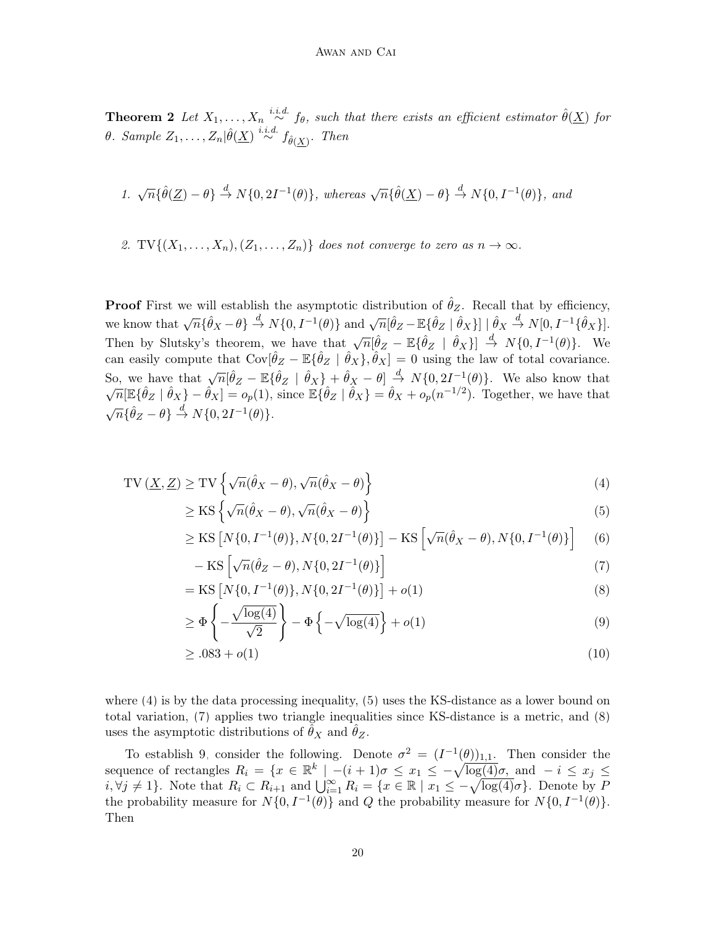**Theorem 2** Let  $X_1, \ldots, X_n \stackrel{i.i.d.}{\sim} f_\theta$ , such that there exists an efficient estimator  $\hat{\theta}(\underline{X})$  for θ. Sample  $Z_1, \ldots, Z_n | \hat{\theta}(\underline{X}) \stackrel{i.i.d.}{\sim} f_{\hat{\theta}(\underline{X})}$ . Then

1. 
$$
\sqrt{n}\{\hat{\theta}(\underline{Z})-\theta\}\stackrel{d}{\rightarrow}N\{0,2I^{-1}(\theta)\}\text{, whereas }\sqrt{n}\{\hat{\theta}(\underline{X})-\theta\}\stackrel{d}{\rightarrow}N\{0,I^{-1}(\theta)\}\text{, and}
$$

2. TV $\{(X_1,\ldots,X_n), (Z_1,\ldots,Z_n)\}\)$  does not converge to zero as  $n \to \infty$ .

**Proof** First we will establish the asymptotic distribution of  $\hat{\theta}_Z$ . Recall that by efficiency, we know that  $\sqrt{n} {\hat{\theta}_X - \theta} \stackrel{d}{\rightarrow} N{0, I^{-1}(\theta)}$  and  $\sqrt{n} [\hat{\theta}_Z - \mathbb{E} {\hat{\theta}_Z} | \hat{\theta}_X] | \hat{\theta}_X \stackrel{d}{\rightarrow} N[0, I^{-1} {\hat{\theta}_X}].$ Then by Slutsky's theorem, we have that  $\sqrt{n}[\hat{\theta}_Z - \mathbb{E}\{\hat{\theta}_Z \mid \hat{\theta}_X\}] \stackrel{d}{\rightarrow} N\{0, I^{-1}(\theta)\}.$  We can easily compute that  $Cov[\hat{\theta}_Z - \mathbb{E}\{\hat{\theta}_Z \mid \hat{\theta}_X\}, \hat{\theta}_X] = 0$  using the law of total covariance. So, we have that  $\sqrt{n}[\hat{\theta}_Z - \mathbb{E}\{\hat{\theta}_Z \mid \hat{\theta}_X\} + \hat{\theta}_X - \theta] \stackrel{d}{\rightarrow} N\{0, 2I^{-1}(\theta)\}$ . We also know that  $\sqrt{n}[\mathbb{E}\{\hat{\theta}_Z \mid \hat{\theta}_X\} - \hat{\theta}_X] = o_p(1)$ , since  $\mathbb{E}\{\hat{\theta}_Z \mid \hat{\theta}_X\} = \hat{\theta}_X + o_p(n^{-1/2})$ . Together, we have that  $\sqrt{n} \{\hat{\theta}_Z - \theta\} \stackrel{d}{\rightarrow} N\{0, 2I^{-1}(\theta)\}.$ 

$$
TV(\underline{X}, \underline{Z}) \ge TV \left\{ \sqrt{n}(\hat{\theta}_X - \theta), \sqrt{n}(\hat{\theta}_X - \theta) \right\}
$$
(4)

$$
\geq \operatorname{KS} \left\{ \sqrt{n}(\hat{\theta}_X - \theta), \sqrt{n}(\hat{\theta}_X - \theta) \right\} \tag{5}
$$

$$
\geq \text{KS}\left[N\{0, I^{-1}(\theta)\}, N\{0, 2I^{-1}(\theta)\}\right] - \text{KS}\left[\sqrt{n}(\hat{\theta}_X - \theta), N\{0, I^{-1}(\theta)\}\right] \tag{6}
$$

<span id="page-19-4"></span><span id="page-19-3"></span><span id="page-19-2"></span><span id="page-19-1"></span><span id="page-19-0"></span>
$$
-\operatorname{KS}\left[\sqrt{n}(\hat{\theta}_Z-\theta), N\{0,2I^{-1}(\theta)\}\right]
$$
\n(7)

$$
= \text{KS}\left[N\{0, I^{-1}(\theta)\}, N\{0, 2I^{-1}(\theta)\}\right] + o(1) \tag{8}
$$

$$
\geq \Phi\left\{-\frac{\sqrt{\log(4)}}{\sqrt{2}}\right\} - \Phi\left\{-\sqrt{\log(4)}\right\} + o(1) \tag{9}
$$

$$
\geq .083 + o(1) \tag{10}
$$

where [\(4\)](#page-19-0) is by the data processing inequality, [\(5\)](#page-19-1) uses the KS-distance as a lower bound on total variation, [\(7\)](#page-19-2) applies two triangle inequalities since KS-distance is a metric, and [\(8\)](#page-19-3) uses the asymptotic distributions of  $\theta_X$  and  $\theta_Z$ .

To establish [9,](#page-19-4) consider the following. Denote  $\sigma^2 = (I^{-1}(\theta))_{1,1}$ . Then consider the sequence of rectangles  $R_i = \{x \in \mathbb{R}^k \mid -(i+1)\sigma \leq x_1 \leq -\sqrt{\log(4)}\sigma, \text{ and } -i \leq x_j \leq$  $i, \forall j \neq 1$ . Note that  $R_i \subset R_{i+1}$  and  $\bigcup_{i=1}^{\infty} R_i = \{x \in \mathbb{R} \mid x_1 \leq -\sqrt{\log(4)}\sigma\}$ . Denote by P the probability measure for  $N{0, I^{-1}(\theta)}$  and Q the probability measure for  $N{0, I^{-1}(\theta)}$ . Then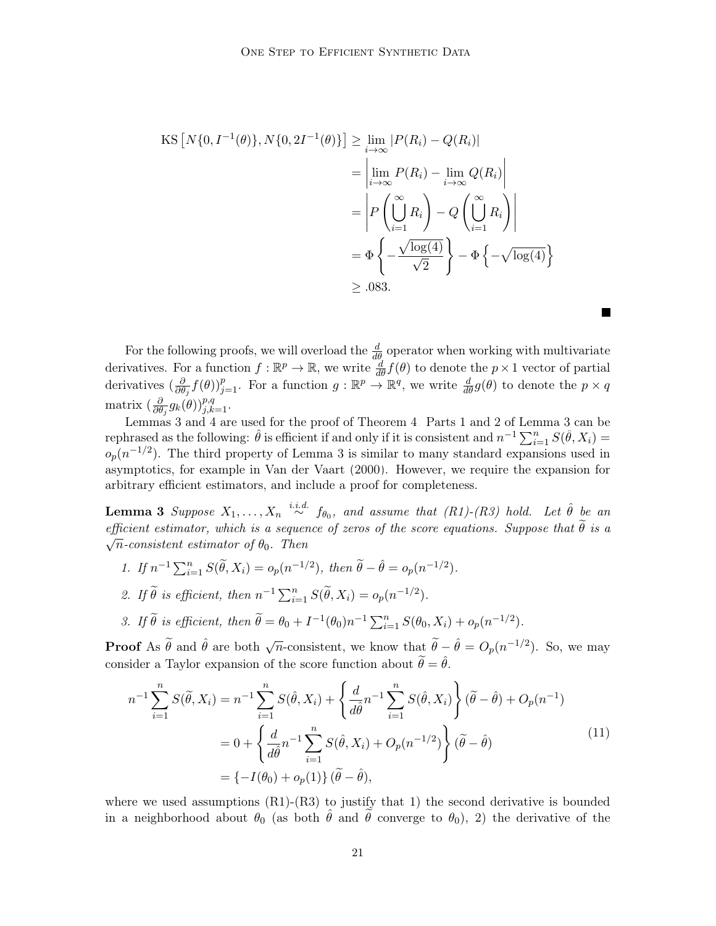$$
\begin{aligned} \text{KS}\left[N\{0, I^{-1}(\theta)\}, N\{0, 2I^{-1}(\theta)\}\right] &\geq \lim_{i \to \infty} |P(R_i) - Q(R_i)| \\ &= \left|\lim_{i \to \infty} P(R_i) - \lim_{i \to \infty} Q(R_i)\right| \\ &= \left|P\left(\bigcup_{i=1}^{\infty} R_i\right) - Q\left(\bigcup_{i=1}^{\infty} R_i\right)\right| \\ &= \Phi\left\{-\frac{\sqrt{\log(4)}}{\sqrt{2}}\right\} - \Phi\left\{-\sqrt{\log(4)}\right\} \\ &\geq .083. \end{aligned}
$$

For the following proofs, we will overload the  $\frac{d}{d\theta}$  operator when working with multivariate derivatives. For a function  $f : \mathbb{R}^p \to \mathbb{R}$ , we write  $\frac{d}{d\theta} f(\theta)$  to denote the  $p \times 1$  vector of partial derivatives  $\left(\frac{\partial}{\partial \theta}\right)$  $\frac{\partial}{\partial \theta_j} f(\theta) \big|_{j=1}^p$ . For a function  $g: \mathbb{R}^p \to \mathbb{R}^q$ , we write  $\frac{d}{d\theta} g(\theta)$  to denote the  $p \times q$ matrix ( $\frac{\partial}{\partial \theta}$  $\frac{\partial}{\partial \theta_j} g_k(\theta) \big)_{j,k=1}^{p,q}$ .

<span id="page-20-0"></span>**The State** 

Lemmas [3](#page-20-0) and [4](#page-21-0) are used for the proof of Theorem [4.](#page-6-0) Parts 1 and 2 of Lemma [3](#page-20-0) can be rephrased as the following:  $\hat{\theta}$  is efficient if and only if it is consistent and  $n^{-1}\sum_{i=1}^{n}S(\hat{\theta},X_i)$  $o_p(n^{-1/2})$ . The third property of Lemma [3](#page-20-0) is similar to many standard expansions used in asymptotics, for example in [Van der Vaart](#page-31-9) [\(2000\)](#page-31-9). However, we require the expansion for arbitrary efficient estimators, and include a proof for completeness.

**Lemma 3** Suppose  $X_1, \ldots, X_n \stackrel{i.i.d.}{\sim} f_{\theta_0}$ , and assume that  $(R1)-(R3)$  hold. Let  $\hat{\theta}$  be an efficient estimator, which is a sequence of zeros of the score equations. Suppose that  $\theta$  is a  $\sqrt{n}$ -consistent estimator of  $\theta_0$ . Then

- 1. If  $n^{-1} \sum_{i=1}^{n} S(\tilde{\theta}, X_i) = o_p(n^{-1/2}),$  then  $\tilde{\theta} \hat{\theta} = o_p(n^{-1/2}).$
- 2. If  $\widetilde{\theta}$  is efficient, then  $n^{-1} \sum_{i=1}^{n} S(\widetilde{\theta}, X_i) = o_p(n^{-1/2}).$
- 3. If  $\widetilde{\theta}$  is efficient, then  $\widetilde{\theta} = \theta_0 + I^{-1}(\theta_0)n^{-1} \sum_{i=1}^n S(\theta_0, X_i) + o_p(n^{-1/2}).$

**Proof** As  $\tilde{\theta}$  and  $\hat{\theta}$  are both  $\sqrt{n}$ -consistent, we know that  $\tilde{\theta} - \hat{\theta} = O_p(n^{-1/2})$ . So, we may consider a Taylor expansion of the score function about  $\widetilde{\theta} = \hat{\theta}$ .

<span id="page-20-1"></span>
$$
n^{-1} \sum_{i=1}^{n} S(\tilde{\theta}, X_i) = n^{-1} \sum_{i=1}^{n} S(\hat{\theta}, X_i) + \left\{ \frac{d}{d\hat{\theta}} n^{-1} \sum_{i=1}^{n} S(\hat{\theta}, X_i) \right\} (\tilde{\theta} - \hat{\theta}) + O_p(n^{-1})
$$
  
=  $0 + \left\{ \frac{d}{d\hat{\theta}} n^{-1} \sum_{i=1}^{n} S(\hat{\theta}, X_i) + O_p(n^{-1/2}) \right\} (\tilde{\theta} - \hat{\theta})$  (11)  
=  $\{-I(\theta_0) + o_p(1)\} (\tilde{\theta} - \hat{\theta}),$ 

where we used assumptions  $(R1)-(R3)$  to justify that 1) the second derivative is bounded in a neighborhood about  $\theta_0$  (as both  $\hat{\theta}$  and  $\theta$  converge to  $\theta_0$ ), 2) the derivative of the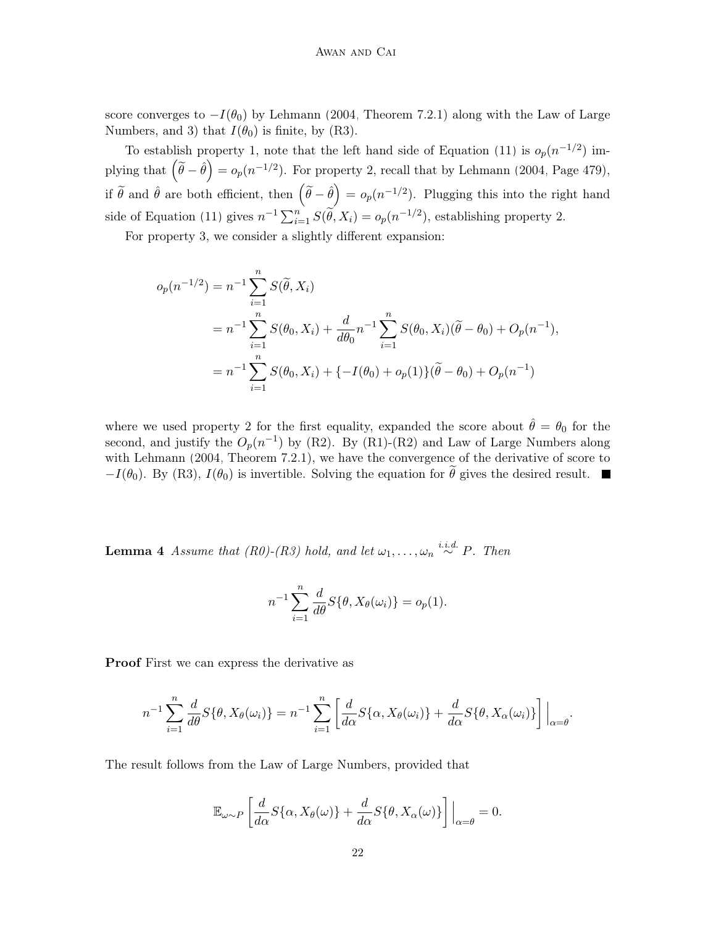score converges to  $-I(\theta_0)$  by [Lehmann](#page-29-10) [\(2004,](#page-29-10) Theorem 7.2.1) along with the Law of Large Numbers, and 3) that  $I(\theta_0)$  is finite, by (R3).

To establish property 1, note that the left hand side of Equation [\(11\)](#page-20-1) is  $o_p(n^{-1/2})$  implying that  $(\tilde{\theta} - \hat{\theta}) = o_p(n^{-1/2})$ . For property 2, recall that by [Lehmann](#page-29-10) [\(2004,](#page-29-10) Page 479), if  $\tilde{\theta}$  and  $\hat{\theta}$  are both efficient, then  $(\tilde{\theta}-\hat{\theta})=o_p(n^{-1/2})$ . Plugging this into the right hand side of Equation [\(11\)](#page-20-1) gives  $n^{-1} \sum_{i=1}^{n} S(\tilde{\theta}, X_i) = o_p(n^{-1/2})$ , establishing property 2.

For property 3, we consider a slightly different expansion:

$$
o_p(n^{-1/2}) = n^{-1} \sum_{i=1}^n S(\tilde{\theta}, X_i)
$$
  
=  $n^{-1} \sum_{i=1}^n S(\theta_0, X_i) + \frac{d}{d\theta_0} n^{-1} \sum_{i=1}^n S(\theta_0, X_i)(\tilde{\theta} - \theta_0) + O_p(n^{-1}),$   
=  $n^{-1} \sum_{i=1}^n S(\theta_0, X_i) + \{-I(\theta_0) + o_p(1)\}(\tilde{\theta} - \theta_0) + O_p(n^{-1})$ 

where we used property 2 for the first equality, expanded the score about  $\hat{\theta} = \theta_0$  for the second, and justify the  $O_p(n^{-1})$  by (R2). By (R1)-(R2) and Law of Large Numbers along with [Lehmann](#page-29-10) [\(2004,](#page-29-10) Theorem 7.2.1), we have the convergence of the derivative of score to  $-I(\theta_0)$ . By (R3),  $I(\theta_0)$  is invertible. Solving the equation for  $\tilde{\theta}$  gives the desired result.

<span id="page-21-0"></span>**Lemma 4** Assume that (R0)-(R3) hold, and let  $\omega_1, \ldots, \omega_n \stackrel{i.i.d.}{\sim} P$ . Then

$$
n^{-1} \sum_{i=1}^{n} \frac{d}{d\theta} S\{\theta, X_{\theta}(\omega_{i})\} = o_{p}(1).
$$

Proof First we can express the derivative as

$$
n^{-1} \sum_{i=1}^{n} \frac{d}{d\theta} S\{\theta, X_{\theta}(\omega_{i})\} = n^{-1} \sum_{i=1}^{n} \left[ \frac{d}{d\alpha} S\{\alpha, X_{\theta}(\omega_{i})\} + \frac{d}{d\alpha} S\{\theta, X_{\alpha}(\omega_{i})\} \right] \Big|_{\alpha = \theta}.
$$

The result follows from the Law of Large Numbers, provided that

$$
\mathbb{E}_{\omega \sim P} \left[ \frac{d}{d\alpha} S\{\alpha, X_{\theta}(\omega)\} + \frac{d}{d\alpha} S\{\theta, X_{\alpha}(\omega)\} \right] \Big|_{\alpha = \theta} = 0.
$$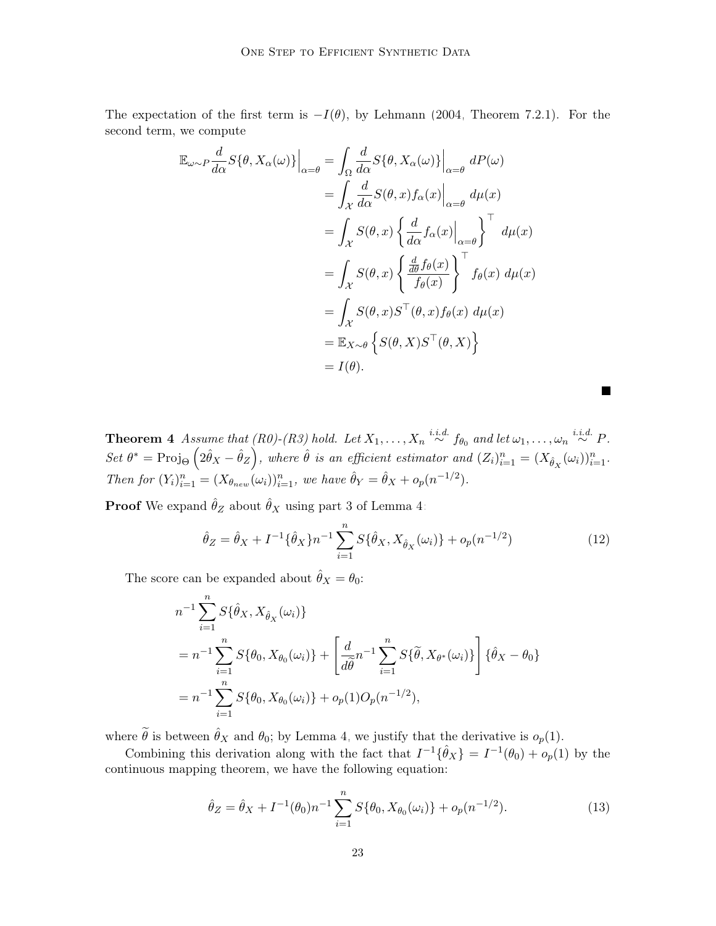The expectation of the first term is  $-I(\theta)$ , by [Lehmann](#page-29-10) [\(2004,](#page-29-10) Theorem 7.2.1). For the second term, we compute

$$
\mathbb{E}_{\omega \sim P} \frac{d}{d\alpha} S\{\theta, X_{\alpha}(\omega)\}\Big|_{\alpha = \theta} = \int_{\Omega} \frac{d}{d\alpha} S\{\theta, X_{\alpha}(\omega)\}\Big|_{\alpha = \theta} dP(\omega)
$$
  
\n
$$
= \int_{\mathcal{X}} \frac{d}{d\alpha} S(\theta, x) f_{\alpha}(x)\Big|_{\alpha = \theta} d\mu(x)
$$
  
\n
$$
= \int_{\mathcal{X}} S(\theta, x) \left\{ \frac{d}{d\alpha} f_{\alpha}(x)\Big|_{\alpha = \theta} \right\}^{\top} d\mu(x)
$$
  
\n
$$
= \int_{\mathcal{X}} S(\theta, x) \left\{ \frac{\frac{d}{d\theta} f_{\theta}(x)}{f_{\theta}(x)} \right\}^{\top} f_{\theta}(x) d\mu(x)
$$
  
\n
$$
= \int_{\mathcal{X}} S(\theta, x) S^{\top}(\theta, x) f_{\theta}(x) d\mu(x)
$$
  
\n
$$
= \mathbb{E}_{X \sim \theta} \left\{ S(\theta, X) S^{\top}(\theta, X) \right\}
$$
  
\n
$$
= I(\theta).
$$

**Theorem 4** Assume that  $(R0)$ - $(R3)$  hold. Let  $X_1, \ldots, X_n \stackrel{i.i.d.}{\sim} f_{\theta_0}$  and let  $\omega_1, \ldots, \omega_n \stackrel{i.i.d.}{\sim} P$ . Set  $\theta^* = \text{Proj}_{\Theta} \left( 2\hat{\theta}_X - \hat{\theta}_Z \right)$ , where  $\hat{\theta}$  is an efficient estimator and  $(Z_i)_{i=1}^n = (X_{\hat{\theta}_X}(\omega_i))_{i=1}^n$ . Then for  $(Y_i)_{i=1}^n = (X_{\theta_{new}}(\omega_i))_{i=1}^n$ , we have  $\hat{\theta}_Y = \hat{\theta}_X + o_p(n^{-1/2})$ .

**Proof** We expand  $\hat{\theta}_Z$  about  $\hat{\theta}_X$  using part 3 of Lemma [4:](#page-21-0)

$$
\hat{\theta}_Z = \hat{\theta}_X + I^{-1} \{ \hat{\theta}_X \} n^{-1} \sum_{i=1}^n S \{ \hat{\theta}_X, X_{\hat{\theta}_X}(\omega_i) \} + o_p(n^{-1/2})
$$
\n(12)

<span id="page-22-0"></span> $\blacksquare$ 

The score can be expanded about  $\hat{\theta}_X = \theta_0$ :

$$
n^{-1} \sum_{i=1}^{n} S\{\hat{\theta}_X, X_{\hat{\theta}_X}(\omega_i)\}
$$
  
=  $n^{-1} \sum_{i=1}^{n} S\{\theta_0, X_{\theta_0}(\omega_i)\} + \left[\frac{d}{d\hat{\theta}} n^{-1} \sum_{i=1}^{n} S\{\tilde{\theta}, X_{\theta^*}(\omega_i)\}\right] \{\hat{\theta}_X - \theta_0\}$   
=  $n^{-1} \sum_{i=1}^{n} S\{\theta_0, X_{\theta_0}(\omega_i)\} + o_p(1)O_p(n^{-1/2}),$ 

where  $\tilde{\theta}$  is between  $\hat{\theta}_X$  and  $\theta_0$ ; by Lemma [4,](#page-21-0) we justify that the derivative is  $o_p(1)$ .

<span id="page-22-1"></span>Combining this derivation along with the fact that  $I^{-1}\{\hat{\theta}_X\} = I^{-1}(\theta_0) + o_p(1)$  by the continuous mapping theorem, we have the following equation:

$$
\hat{\theta}_Z = \hat{\theta}_X + I^{-1}(\theta_0) n^{-1} \sum_{i=1}^n S\{\theta_0, X_{\theta_0}(\omega_i)\} + o_p(n^{-1/2}).
$$
\n(13)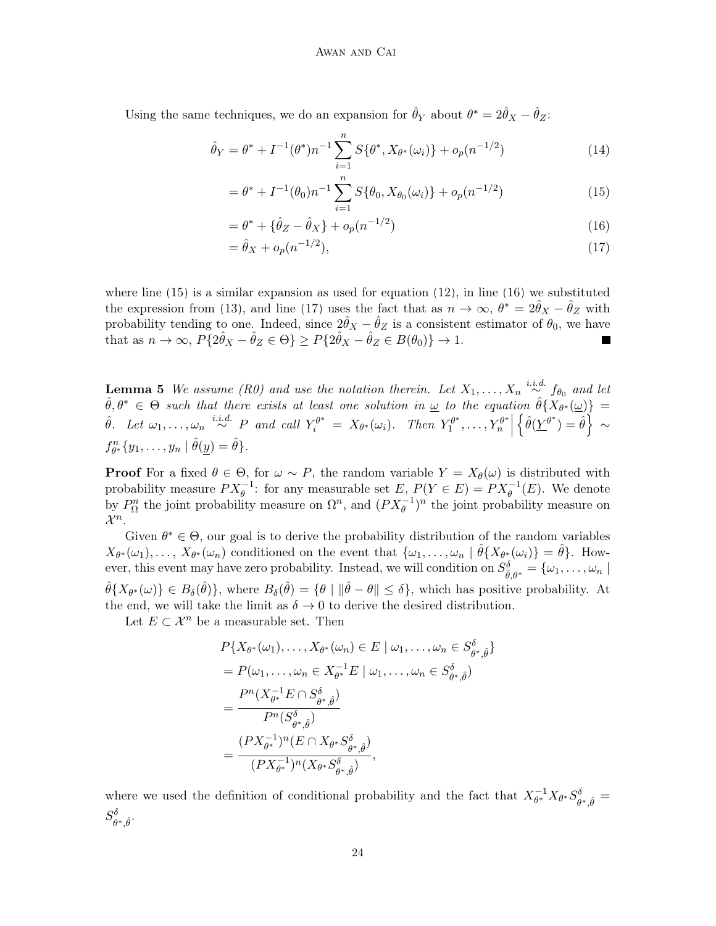Using the same techniques, we do an expansion for  $\hat{\theta}_Y$  about  $\theta^* = 2\hat{\theta}_X - \hat{\theta}_Z$ :

$$
\hat{\theta}_Y = \theta^* + I^{-1}(\theta^*)n^{-1} \sum_{i=1}^n S\{\theta^*, X_{\theta^*}(\omega_i)\} + o_p(n^{-1/2})
$$
\n(14)

<span id="page-23-0"></span>
$$
= \theta^* + I^{-1}(\theta_0) n^{-1} \sum_{i=1}^n S\{\theta_0, X_{\theta_0}(\omega_i)\} + o_p(n^{-1/2})
$$
\n(15)

$$
= \theta^* + {\hat{\theta}_Z - \hat{\theta}_X} + o_p(n^{-1/2})
$$
\n(16)

<span id="page-23-2"></span><span id="page-23-1"></span>
$$
= \hat{\theta}_X + o_p(n^{-1/2}),\tag{17}
$$

where line  $(15)$  is a similar expansion as used for equation  $(12)$ , in line  $(16)$  we substituted the expression from [\(13\)](#page-22-1), and line [\(17\)](#page-23-2) uses the fact that as  $n \to \infty$ ,  $\theta^* = 2\hat{\theta}_X - \hat{\theta}_Z$  with probability tending to one. Indeed, since  $2\hat{\theta}_X - \hat{\theta}_Z$  is a consistent estimator of  $\theta_0$ , we have that as  $n \to \infty$ ,  $P\{2\hat{\theta}_X - \hat{\theta}_Z \in \Theta\} \ge P\{2\hat{\theta}_X - \hat{\theta}_Z \in B(\theta_0)\} \to 1$ .

**Lemma 5** We assume (R0) and use the notation therein. Let  $X_1, \ldots, X_n \stackrel{i.i.d.}{\sim} f_{\theta_0}$  and let  $\hat{\theta}, \theta^* \in \Theta$  such that there exists at least one solution in  $\omega$  to the equation  $\hat{\theta} \{X_{\theta^*}(\omega)\}$  =  $\hat{\theta}$ . Let  $\omega_1, \ldots, \omega_n \stackrel{i.i.d.}{\sim} P$  and call  $Y_i^{\theta^*} = X_{\theta^*}(\omega_i)$ . Then  $Y_1^{\theta^*}$  $T_1^{\theta^*}, \ldots, Y_n^{\theta^*}$  $\left\{\hat{\theta}(\underline{Y}^{\theta^*})=\hat{\theta}\right\} \sim$  $f_{\theta^*}^n\{y_1,\ldots,y_n \mid \hat{\theta}(\underline{y})=\hat{\theta}\}.$ 

**Proof** For a fixed  $\theta \in \Theta$ , for  $\omega \sim P$ , the random variable  $Y = X_{\theta}(\omega)$  is distributed with probability measure  $PX_{\theta}^{-1}$ : for any measurable set  $E, P(Y \in E) = PX_{\theta}^{-1}(E)$ . We denote by  $P_{\Omega}^{n}$  the joint probability measure on  $\Omega^{n}$ , and  $(PX_{\theta}^{-1})^{n}$  the joint probability measure on  $\mathcal{X}^n$ .

Given  $\theta^* \in \Theta$ , our goal is to derive the probability distribution of the random variables  $X_{\theta^*}(\omega_1),\ldots,X_{\theta^*}(\omega_n)$  conditioned on the event that  $\{\omega_1,\ldots,\omega_n \mid \hat{\theta}\{X_{\theta^*}(\omega_i)\}=\hat{\theta}\}.$  However, this event may have zero probability. Instead, we will condition on  $S^{\delta}_{\hat{\theta},\theta^*} = \{\omega_1,\ldots,\omega_n\mid \theta\in\Theta\}$  $\hat{\theta}\{X_{\theta^*}(\omega)\}\in B_{\delta}(\hat{\theta})\},\$  where  $B_{\delta}(\hat{\theta})=\{\theta\mid \|\hat{\theta}-\theta\|\leq \delta\},\$  which has positive probability. At the end, we will take the limit as  $\delta \to 0$  to derive the desired distribution.

Let  $E \subset \mathcal{X}^n$  be a measurable set. Then

$$
P\{X_{\theta^*}(\omega_1), \dots, X_{\theta^*}(\omega_n) \in E \mid \omega_1, \dots, \omega_n \in S_{\theta^*, \hat{\theta}}^{\delta}\}
$$
  
=  $P(\omega_1, \dots, \omega_n \in X_{\theta^*}^{-1}E \mid \omega_1, \dots, \omega_n \in S_{\theta^*, \hat{\theta}}^{\delta})$   
= 
$$
\frac{P^n(X_{\theta^*}^{-1}E \cap S_{\theta^*, \hat{\theta}}^{\delta})}{P^n(S_{\theta^*, \hat{\theta}}^{\delta})}
$$
  
= 
$$
\frac{(PX_{\theta^*}^{-1})^n(E \cap X_{\theta^*}S_{\theta^*, \hat{\theta}}^{\delta})}{(PX_{\theta^*}^{-1})^n(X_{\theta^*}S_{\theta^*, \hat{\theta}}^{\delta})},
$$

where we used the definition of conditional probability and the fact that  $X_{\theta^*}^{-1}$  $_\theta^{-1} X_{\theta^*} S_\theta^\delta$  $\overset{\scriptscriptstyle\partial}{_{\theta^*,\hat{\theta}}} =$  $S^{\delta}_{\alpha}$  $\overset{\cdot\,\theta}{\theta^{\ast},\hat{\theta}}.$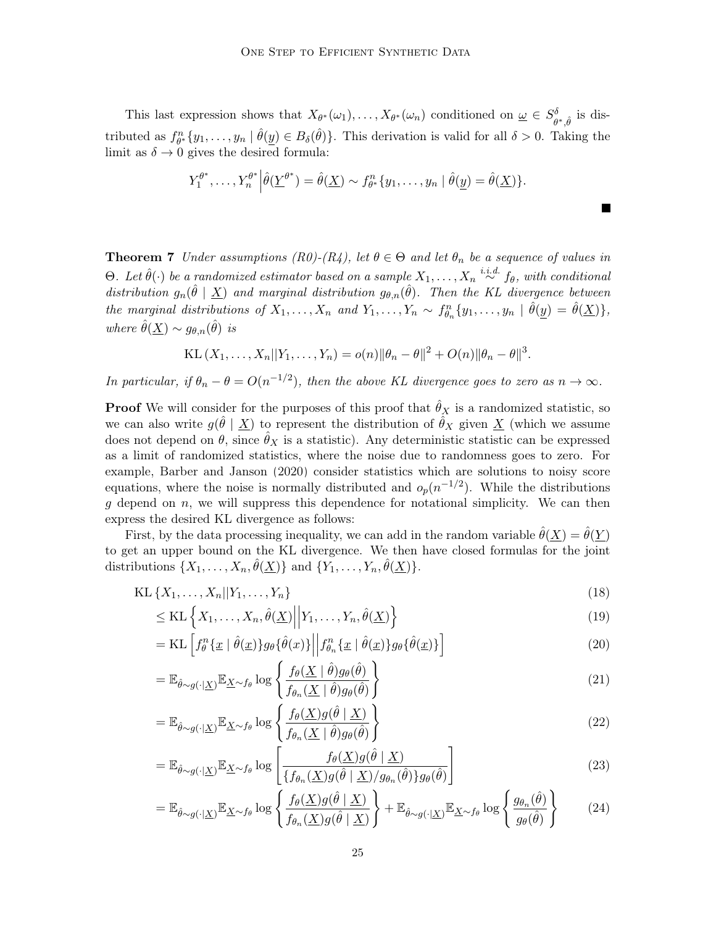This last expression shows that  $X_{\theta^*}(\omega_1), \ldots, X_{\theta^*}(\omega_n)$  conditioned on  $\omega \in S^{\delta}_{\theta}$  $\overset{\delta}{\theta^*, \hat{\theta}}$  is distributed as  $f_{\theta^*}^n\{y_1,\ldots,y_n \mid \hat{\theta}(\underline{y}) \in B_{\delta}(\hat{\theta})\}$ . This derivation is valid for all  $\delta > 0$ . Taking the limit as  $\delta \to 0$  gives the desired formula:

$$
Y_1^{\theta^*}, \ldots, Y_n^{\theta^*} \Big| \hat{\theta}(\underline{Y}^{\theta^*}) = \hat{\theta}(\underline{X}) \sim f_{\theta^*}^n \{y_1, \ldots, y_n \mid \hat{\theta}(\underline{y}) = \hat{\theta}(\underline{X})\}.
$$

**Theorem 7** Under assumptions (R0)-(R4), let  $\theta \in \Theta$  and let  $\theta_n$  be a sequence of values in Θ. Let  $\hat{\theta}(\cdot)$  be a randomized estimator based on a sample  $X_1, \ldots, X_n \stackrel{i.i.d.}{\sim} f_{\theta}$ , with conditional distribution  $g_n(\hat{\theta} | \underline{X})$  and marginal distribution  $g_{\theta,n}(\hat{\theta})$ . Then the KL divergence between the marginal distributions of  $X_1, \ldots, X_n$  and  $Y_1, \ldots, Y_n \sim f_{\theta_n}^n \{y_1, \ldots, y_n \mid \hat{\theta}(\underline{y}) = \hat{\theta}(\underline{X})\},$ where  $\hat{\theta}(\underline{X}) \sim g_{\theta,n}(\hat{\theta})$  is

KL 
$$
(X_1, ..., X_n || Y_1, ..., Y_n) = o(n) ||\theta_n - \theta||^2 + O(n) ||\theta_n - \theta||^3
$$
.

In particular, if  $\theta_n - \theta = O(n^{-1/2})$ , then the above KL divergence goes to zero as  $n \to \infty$ .

**Proof** We will consider for the purposes of this proof that  $\hat{\theta}_X$  is a randomized statistic, so we can also write  $g(\hat{\theta} | \underline{X})$  to represent the distribution of  $\hat{\theta}_X$  given  $\underline{X}$  (which we assume does not depend on  $\theta$ , since  $\hat{\theta}_X$  is a statistic). Any deterministic statistic can be expressed as a limit of randomized statistics, where the noise due to randomness goes to zero. For example, [Barber and Janson](#page-27-0) [\(2020\)](#page-27-0) consider statistics which are solutions to noisy score equations, where the noise is normally distributed and  $o_p(n^{-1/2})$ . While the distributions  $g$  depend on  $n$ , we will suppress this dependence for notational simplicity. We can then express the desired KL divergence as follows:

First, by the data processing inequality, we can add in the random variable  $\hat{\theta}(X) = \hat{\theta}(Y)$ to get an upper bound on the KL divergence. We then have closed formulas for the joint distributions  $\{X_1, \ldots, X_n, \hat{\theta}(\underline{X})\}$  and  $\{Y_1, \ldots, Y_n, \hat{\theta}(\underline{X})\}.$ 

$$
KL\left\{X_1, \ldots, X_n | |Y_1, \ldots, Y_n\right\} \tag{18}
$$

$$
\leq \text{KL}\left\{X_1, \dots, X_n, \hat{\theta}(\underline{X}) \middle| \middle| Y_1, \dots, Y_n, \hat{\theta}(\underline{X}) \right\} \tag{19}
$$

$$
= \mathrm{KL}\left[f_{\theta}^{n}\{\underline{x} \mid \hat{\theta}(\underline{x})\}g_{\theta}\{\hat{\theta}(x)\}\middle\|f_{\theta_{n}}^{n}\{\underline{x} \mid \hat{\theta}(\underline{x})\}g_{\theta}\{\hat{\theta}(\underline{x})\}\right]
$$
(20)

<span id="page-24-0"></span>
$$
= \mathbb{E}_{\hat{\theta} \sim g(\cdot | \underline{X})} \mathbb{E}_{\underline{X} \sim f_{\theta}} \log \left\{ \frac{f_{\theta}(\underline{X} \mid \hat{\theta}) g_{\theta}(\hat{\theta})}{f_{\theta_n}(\underline{X} \mid \hat{\theta}) g_{\theta}(\hat{\theta})} \right\}
$$
(21)

$$
= \mathbb{E}_{\hat{\theta} \sim g(\cdot | \underline{X})} \mathbb{E}_{\underline{X} \sim f_{\theta}} \log \left\{ \frac{f_{\theta}(\underline{X}) g(\hat{\theta} | \underline{X})}{f_{\theta_n}(\underline{X} | \hat{\theta}) g_{\theta}(\hat{\theta})} \right\} \tag{22}
$$

<span id="page-24-1"></span>
$$
= \mathbb{E}_{\hat{\theta} \sim g(\cdot | \underline{X})} \mathbb{E}_{\underline{X} \sim f_{\theta}} \log \left[ \frac{f_{\theta}(\underline{X}) g(\hat{\theta} | \underline{X})}{\{f_{\theta_n}(\underline{X}) g(\hat{\theta} | \underline{X}) / g_{\theta_n}(\hat{\theta})\} g_{\theta}(\hat{\theta})} \right]
$$
(23)

$$
= \mathbb{E}_{\hat{\theta} \sim g(\cdot | \underline{X})} \mathbb{E}_{\underline{X} \sim f_{\theta}} \log \left\{ \frac{f_{\theta}(\underline{X}) g(\hat{\theta} | \underline{X})}{f_{\theta_n}(\underline{X}) g(\hat{\theta} | \underline{X})} \right\} + \mathbb{E}_{\hat{\theta} \sim g(\cdot | \underline{X})} \mathbb{E}_{\underline{X} \sim f_{\theta}} \log \left\{ \frac{g_{\theta_n}(\hat{\theta})}{g_{\theta}(\hat{\theta})} \right\} \tag{24}
$$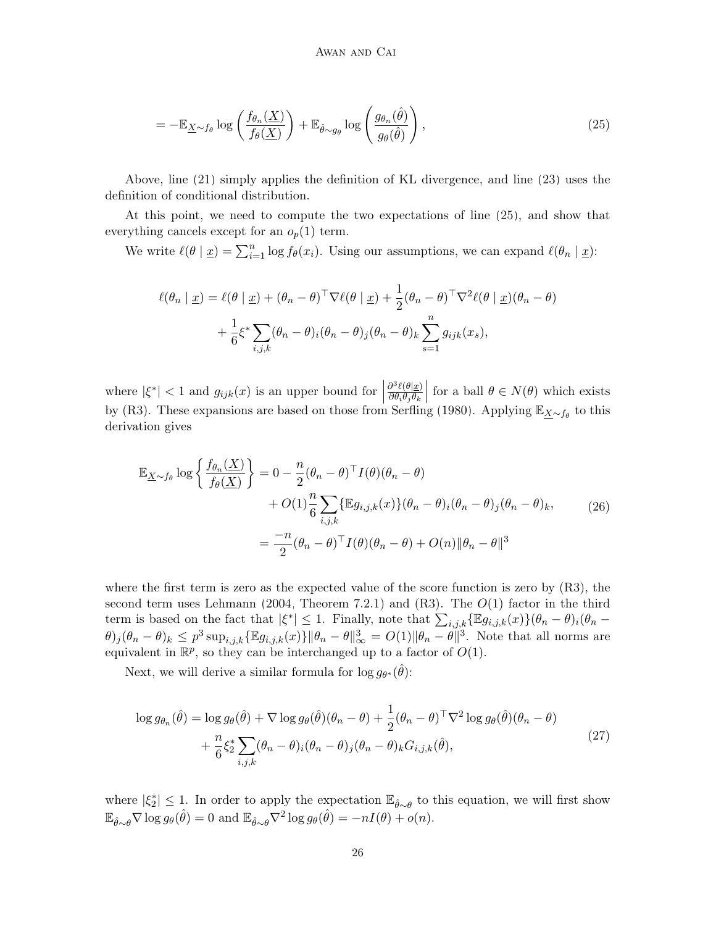<span id="page-25-0"></span>
$$
= -\mathbb{E}_{\underline{X}\sim f_{\theta}} \log \left( \frac{f_{\theta_n}(\underline{X})}{f_{\theta}(\underline{X})} \right) + \mathbb{E}_{\hat{\theta}\sim g_{\theta}} \log \left( \frac{g_{\theta_n}(\hat{\theta})}{g_{\theta}(\hat{\theta})} \right), \tag{25}
$$

Above, line [\(21\)](#page-24-0) simply applies the definition of KL divergence, and line [\(23\)](#page-24-1) uses the definition of conditional distribution.

At this point, we need to compute the two expectations of line [\(25\)](#page-25-0), and show that everything cancels except for an  $o_p(1)$  term.

We write  $\ell(\theta | \underline{x}) = \sum_{i=1}^n \log f_\theta(x_i)$ . Using our assumptions, we can expand  $\ell(\theta_n | \underline{x})$ :

$$
\ell(\theta_n \mid \underline{x}) = \ell(\theta \mid \underline{x}) + (\theta_n - \theta)^{\top} \nabla \ell(\theta \mid \underline{x}) + \frac{1}{2} (\theta_n - \theta)^{\top} \nabla^2 \ell(\theta \mid \underline{x}) (\theta_n - \theta)
$$

$$
+ \frac{1}{6} \xi^* \sum_{i,j,k} (\theta_n - \theta)_i (\theta_n - \theta)_j (\theta_n - \theta)_k \sum_{s=1}^n g_{ijk}(x_s),
$$

where  $|\xi^*| < 1$  and  $g_{ijk}(x)$  is an upper bound for  $|$  $\partial^3 \ell(\theta | \underline{x})$  $\partial \theta_i \theta_j \theta_k$  for a ball  $\theta \in N(\theta)$  which exists by (R3). These expansions are based on those from [Serfling](#page-30-12) [\(1980\)](#page-30-12). Applying  $\mathbb{E}_{\underline{X}\sim f_{\theta}}$  to this derivation gives

<span id="page-25-2"></span>
$$
\mathbb{E}_{\underline{X} \sim f_{\theta}} \log \left\{ \frac{f_{\theta_n}(\underline{X})}{f_{\theta}(\underline{X})} \right\} = 0 - \frac{n}{2} (\theta_n - \theta)^{\top} I(\theta) (\theta_n - \theta) + O(1) \frac{n}{6} \sum_{i,j,k} \{ \mathbb{E} g_{i,j,k}(x) \} (\theta_n - \theta)_i (\theta_n - \theta)_j (\theta_n - \theta)_k, \tag{26}
$$

$$
= \frac{-n}{2} (\theta_n - \theta)^{\top} I(\theta) (\theta_n - \theta) + O(n) \|\theta_n - \theta\|^3
$$

where the first term is zero as the expected value of the score function is zero by (R3), the second term uses [Lehmann](#page-29-10) [\(2004,](#page-29-10) Theorem 7.2.1) and  $(R3)$ . The  $O(1)$  factor in the third term is based on the fact that  $|\xi^*| \leq 1$ . Finally, note that  $\sum_{i,j,k} {\mathbb{E}} g_{i,j,k}(x) \{ \theta_n - \theta \}_{i} (\theta_n - \theta)$  $(\theta)_{j}(\theta_n-\theta)_{k} \leq p^3 \sup_{i,j,k} {\mathbb{E}} g_{i,j,k}(x) \|\theta_n-\theta\|_{\infty}^3 = O(1) \|\theta_n-\theta\|_{\infty}^3$ . Note that all norms are equivalent in  $\mathbb{R}^p$ , so they can be interchanged up to a factor of  $O(1)$ .

Next, we will derive a similar formula for  $\log g_{\theta^*}(\hat{\theta})$ :

<span id="page-25-1"></span>
$$
\log g_{\theta_n}(\hat{\theta}) = \log g_{\theta}(\hat{\theta}) + \nabla \log g_{\theta}(\hat{\theta})(\theta_n - \theta) + \frac{1}{2}(\theta_n - \theta)^{\top} \nabla^2 \log g_{\theta}(\hat{\theta})(\theta_n - \theta) + \frac{n}{6} \xi_2^* \sum_{i,j,k} (\theta_n - \theta)_i (\theta_n - \theta)_j (\theta_n - \theta)_k G_{i,j,k}(\hat{\theta}),
$$
\n(27)

where  $|\xi_2^*| \leq 1$ . In order to apply the expectation  $\mathbb{E}_{\hat{\theta} \sim \theta}$  to this equation, we will first show  $\mathbb{E}_{\hat{\theta}\sim\theta}\nabla\log g_{\theta}(\hat{\theta})=0$  and  $\mathbb{E}_{\hat{\theta}\sim\theta}\nabla^2\log g_{\theta}(\hat{\theta})=-nI(\theta)+o(n).$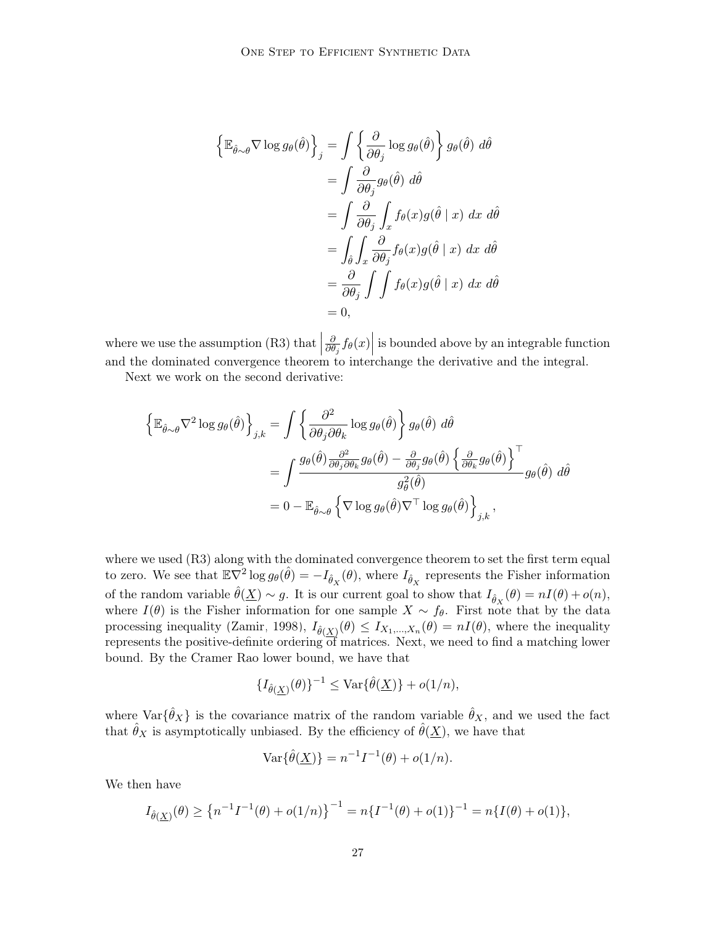$$
\begin{aligned}\n\left\{\mathbb{E}_{\hat{\theta}\sim\theta}\nabla\log g_{\theta}(\hat{\theta})\right\}_{j} &= \int \left\{\frac{\partial}{\partial\theta_{j}}\log g_{\theta}(\hat{\theta})\right\}g_{\theta}(\hat{\theta}) d\hat{\theta} \\
&= \int \frac{\partial}{\partial\theta_{j}}g_{\theta}(\hat{\theta}) d\hat{\theta} \\
&= \int \frac{\partial}{\partial\theta_{j}}\int_{x}f_{\theta}(x)g(\hat{\theta} \mid x) dx d\hat{\theta} \\
&= \int_{\hat{\theta}}\int_{x} \frac{\partial}{\partial\theta_{j}}f_{\theta}(x)g(\hat{\theta} \mid x) dx d\hat{\theta} \\
&= \frac{\partial}{\partial\theta_{j}}\int \int f_{\theta}(x)g(\hat{\theta} \mid x) dx d\hat{\theta} \\
&= 0,\n\end{aligned}
$$

where we use the assumption  $(R3)$  that  $\Big|$ ∂  $\frac{\partial}{\partial \theta_j} f_{\theta}(x)$  is bounded above by an integrable function and the dominated convergence theorem to interchange the derivative and the integral.

Next we work on the second derivative:

$$
\begin{split} \left\{ \mathbb{E}_{\hat{\theta}\sim\theta} \nabla^2 \log g_{\theta}(\hat{\theta}) \right\}_{j,k} &= \int \left\{ \frac{\partial^2}{\partial \theta_j \partial \theta_k} \log g_{\theta}(\hat{\theta}) \right\} g_{\theta}(\hat{\theta}) \ d\hat{\theta} \\ &= \int \frac{g_{\theta}(\hat{\theta}) \frac{\partial^2}{\partial \theta_j \partial \theta_k} g_{\theta}(\hat{\theta}) - \frac{\partial}{\partial \theta_j} g_{\theta}(\hat{\theta}) \left\{ \frac{\partial}{\partial \theta_k} g_{\theta}(\hat{\theta}) \right\}^{\top}}{g_{\theta}^2(\hat{\theta})} g_{\theta}(\hat{\theta}) \ d\hat{\theta} \\ &= 0 - \mathbb{E}_{\hat{\theta}\sim\theta} \left\{ \nabla \log g_{\theta}(\hat{\theta}) \nabla^{\top} \log g_{\theta}(\hat{\theta}) \right\}_{j,k}, \end{split}
$$

where we used (R3) along with the dominated convergence theorem to set the first term equal to zero. We see that  $\mathbb{E} \nabla^2 \log g_{\theta}(\hat{\theta}) = -I_{\hat{\theta}_X}(\theta)$ , where  $I_{\hat{\theta}_X}$  represents the Fisher information of the random variable  $\hat{\theta}(\underline{X}) \sim g$ . It is our current goal to show that  $I_{\hat{\theta}_X}(\theta) = nI(\theta) + o(n)$ , where  $I(\theta)$  is the Fisher information for one sample  $X \sim f_{\theta}$ . First note that by the data processing inequality [\(Zamir, 1998\)](#page-31-10),  $I_{\hat{\theta}(X)}(\theta) \leq I_{X_1,\dots,X_n}(\theta) = nI(\theta)$ , where the inequality represents the positive-definite ordering of matrices. Next, we need to find a matching lower bound. By the Cramer Rao lower bound, we have that

$$
\{I_{\hat{\theta}(\underline{X})}(\theta)\}^{-1}\leq \text{Var}\{\hat{\theta}(\underline{X})\}+o(1/n),
$$

where  $\text{Var}\{\hat{\theta}_X\}$  is the covariance matrix of the random variable  $\hat{\theta}_X$ , and we used the fact that  $\hat{\theta}_X$  is asymptotically unbiased. By the efficiency of  $\hat{\theta}(\underline{X})$ , we have that

Var
$$
\{\hat{\theta}(\underline{X})\} = n^{-1}I^{-1}(\theta) + o(1/n).
$$

We then have

$$
I_{\hat{\theta}(\underline{X})}(\theta) \ge \left\{ n^{-1}I^{-1}(\theta) + o(1/n) \right\}^{-1} = n\left\{ I^{-1}(\theta) + o(1) \right\}^{-1} = n\left\{ I(\theta) + o(1) \right\},\
$$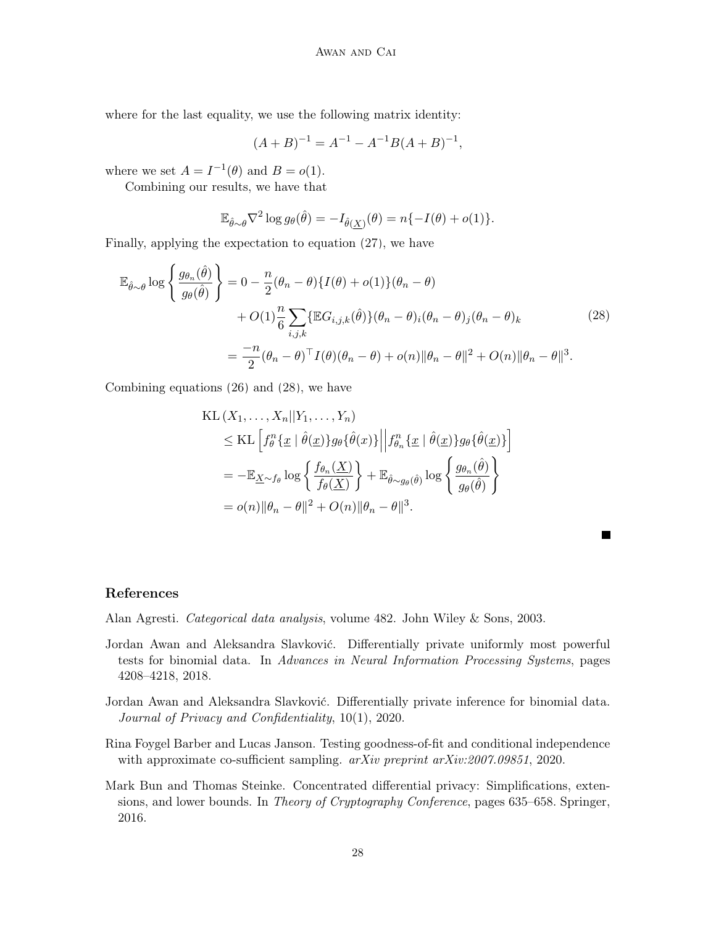where for the last equality, we use the following matrix identity:

<span id="page-27-5"></span>
$$
(A + B)^{-1} = A^{-1} - A^{-1}B(A + B)^{-1},
$$

where we set  $A = I^{-1}(\theta)$  and  $B = o(1)$ .

Combining our results, we have that

$$
\mathbb{E}_{\hat{\theta}\sim\theta}\nabla^2\log g_{\theta}(\hat{\theta}) = -I_{\hat{\theta}(\underline{X})}(\theta) = n\{-I(\theta) + o(1)\}.
$$

Finally, applying the expectation to equation [\(27\)](#page-25-1), we have

$$
\mathbb{E}_{\hat{\theta}\sim\theta}\log\left\{\frac{g_{\theta_n}(\hat{\theta})}{g_{\theta}(\hat{\theta})}\right\} = 0 - \frac{n}{2}(\theta_n - \theta)\left\{I(\theta) + o(1)\right\}(\theta_n - \theta) \n+ O(1)\frac{n}{6}\sum_{i,j,k}\left\{\mathbb{E}G_{i,j,k}(\hat{\theta})\right\}(\theta_n - \theta)_i(\theta_n - \theta)_j(\theta_n - \theta)_k \n= \frac{-n}{2}(\theta_n - \theta)^{\top}I(\theta)(\theta_n - \theta) + o(n)\|\theta_n - \theta\|^2 + O(n)\|\theta_n - \theta\|^3.
$$
\n(28)

Combining equations [\(26\)](#page-25-2) and [\(28\)](#page-27-5), we have

$$
\begin{split} \text{KL}\left(X_1,\ldots,X_n||Y_1,\ldots,Y_n\right) \\ &\leq \text{KL}\left[f_\theta^n\{\underline{x} \mid \hat{\theta}(\underline{x})\}g_\theta\{\hat{\theta}(x)\}\middle\|f_{\theta_n}^n\{\underline{x} \mid \hat{\theta}(\underline{x})\}g_\theta\{\hat{\theta}(\underline{x})\}\right] \\ &= -\mathbb{E}_{\underline{X}\sim f_\theta}\log\left\{\frac{f_{\theta_n}(\underline{X})}{f_\theta(\underline{X})}\right\} + \mathbb{E}_{\hat{\theta}\sim g_\theta(\hat{\theta})}\log\left\{\frac{g_{\theta_n}(\hat{\theta})}{g_\theta(\hat{\theta})}\right\} \\ &= o(n)\|\theta_n - \theta\|^2 + O(n)\|\theta_n - \theta\|^3. \end{split}
$$

 $\blacksquare$ 

# References

<span id="page-27-1"></span>Alan Agresti. Categorical data analysis, volume 482. John Wiley & Sons, 2003.

- <span id="page-27-2"></span>Jordan Awan and Aleksandra Slavković. Differentially private uniformly most powerful tests for binomial data. In Advances in Neural Information Processing Systems, pages 4208–4218, 2018.
- <span id="page-27-3"></span>Jordan Awan and Aleksandra Slavković. Differentially private inference for binomial data. Journal of Privacy and Confidentiality, 10(1), 2020.
- <span id="page-27-0"></span>Rina Foygel Barber and Lucas Janson. Testing goodness-of-fit and conditional independence with approximate co-sufficient sampling.  $arXiv$  preprint  $arXiv:2007.09851$ , 2020.
- <span id="page-27-4"></span>Mark Bun and Thomas Steinke. Concentrated differential privacy: Simplifications, extensions, and lower bounds. In Theory of Cryptography Conference, pages 635–658. Springer, 2016.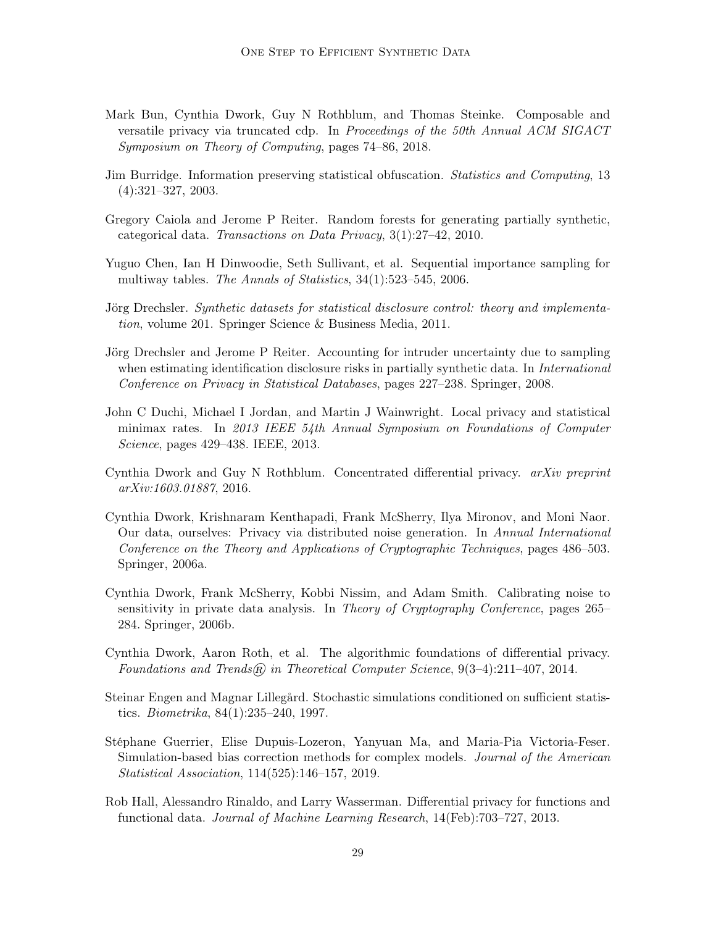- <span id="page-28-12"></span>Mark Bun, Cynthia Dwork, Guy N Rothblum, and Thomas Steinke. Composable and versatile privacy via truncated cdp. In Proceedings of the 50th Annual ACM SIGACT Symposium on Theory of Computing, pages 74–86, 2018.
- <span id="page-28-2"></span>Jim Burridge. Information preserving statistical obfuscation. Statistics and Computing, 13 (4):321–327, 2003.
- <span id="page-28-7"></span>Gregory Caiola and Jerome P Reiter. Random forests for generating partially synthetic, categorical data. Transactions on Data Privacy, 3(1):27–42, 2010.
- <span id="page-28-3"></span>Yuguo Chen, Ian H Dinwoodie, Seth Sullivant, et al. Sequential importance sampling for multiway tables. The Annals of Statistics, 34(1):523–545, 2006.
- <span id="page-28-5"></span>Jörg Drechsler. Synthetic datasets for statistical disclosure control: theory and implementation, volume 201. Springer Science & Business Media, 2011.
- <span id="page-28-6"></span>Jörg Drechsler and Jerome P Reiter. Accounting for intruder uncertainty due to sampling when estimating identification disclosure risks in partially synthetic data. In *International* Conference on Privacy in Statistical Databases, pages 227–238. Springer, 2008.
- <span id="page-28-13"></span>John C Duchi, Michael I Jordan, and Martin J Wainwright. Local privacy and statistical minimax rates. In 2013 IEEE 54th Annual Symposium on Foundations of Computer Science, pages 429–438. IEEE, 2013.
- <span id="page-28-11"></span>Cynthia Dwork and Guy N Rothblum. Concentrated differential privacy. arXiv preprint arXiv:1603.01887, 2016.
- <span id="page-28-10"></span>Cynthia Dwork, Krishnaram Kenthapadi, Frank McSherry, Ilya Mironov, and Moni Naor. Our data, ourselves: Privacy via distributed noise generation. In Annual International Conference on the Theory and Applications of Cryptographic Techniques, pages 486–503. Springer, 2006a.
- <span id="page-28-0"></span>Cynthia Dwork, Frank McSherry, Kobbi Nissim, and Adam Smith. Calibrating noise to sensitivity in private data analysis. In Theory of Cryptography Conference, pages 265– 284. Springer, 2006b.
- <span id="page-28-9"></span>Cynthia Dwork, Aaron Roth, et al. The algorithmic foundations of differential privacy. Foundations and Trends $\circledR$  in Theoretical Computer Science, 9(3-4):211-407, 2014.
- <span id="page-28-4"></span>Steinar Engen and Magnar Lillegård. Stochastic simulations conditioned on sufficient statistics. Biometrika, 84(1):235–240, 1997.
- <span id="page-28-8"></span>Stéphane Guerrier, Elise Dupuis-Lozeron, Yanyuan Ma, and Maria-Pia Victoria-Feser. Simulation-based bias correction methods for complex models. Journal of the American Statistical Association, 114(525):146–157, 2019.
- <span id="page-28-1"></span>Rob Hall, Alessandro Rinaldo, and Larry Wasserman. Differential privacy for functions and functional data. Journal of Machine Learning Research, 14(Feb):703–727, 2013.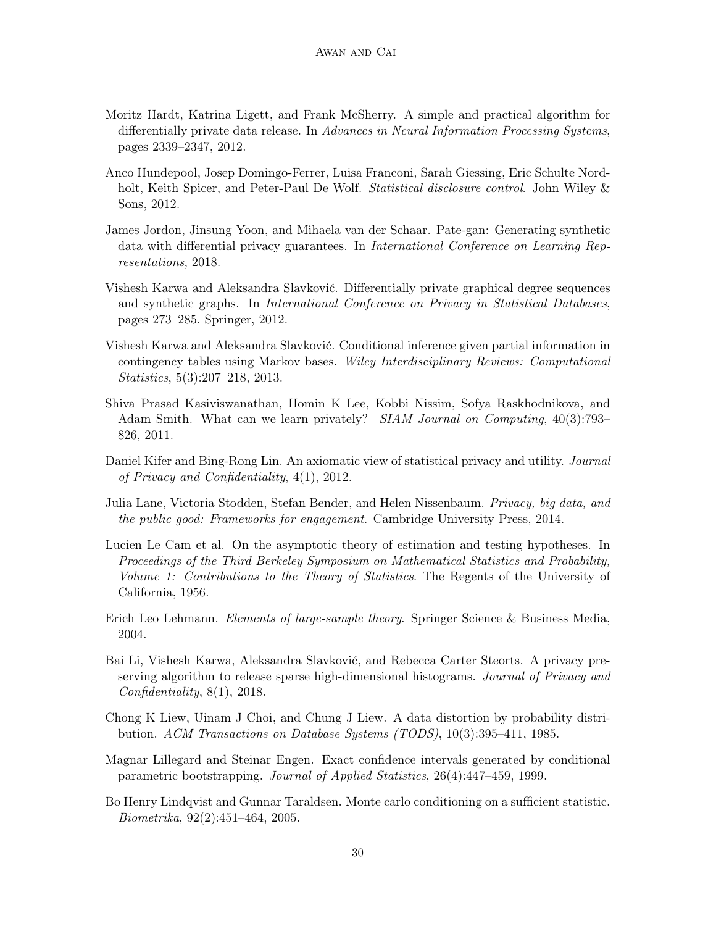- <span id="page-29-8"></span>Moritz Hardt, Katrina Ligett, and Frank McSherry. A simple and practical algorithm for differentially private data release. In Advances in Neural Information Processing Systems, pages 2339–2347, 2012.
- <span id="page-29-1"></span>Anco Hundepool, Josep Domingo-Ferrer, Luisa Franconi, Sarah Giessing, Eric Schulte Nordholt, Keith Spicer, and Peter-Paul De Wolf. *Statistical disclosure control*. John Wiley & Sons, 2012.
- <span id="page-29-9"></span>James Jordon, Jinsung Yoon, and Mihaela van der Schaar. Pate-gan: Generating synthetic data with differential privacy guarantees. In International Conference on Learning Representations, 2018.
- <span id="page-29-6"></span>Vishesh Karwa and Aleksandra Slavković. Differentially private graphical degree sequences and synthetic graphs. In International Conference on Privacy in Statistical Databases, pages 273–285. Springer, 2012.
- <span id="page-29-3"></span>Vishesh Karwa and Aleksandra Slavković. Conditional inference given partial information in contingency tables using Markov bases. Wiley Interdisciplinary Reviews: Computational Statistics, 5(3):207–218, 2013.
- <span id="page-29-12"></span>Shiva Prasad Kasiviswanathan, Homin K Lee, Kobbi Nissim, Sofya Raskhodnikova, and Adam Smith. What can we learn privately? SIAM Journal on Computing, 40(3):793– 826, 2011.
- <span id="page-29-13"></span>Daniel Kifer and Bing-Rong Lin. An axiomatic view of statistical privacy and utility. Journal of Privacy and Confidentiality, 4(1), 2012.
- <span id="page-29-0"></span>Julia Lane, Victoria Stodden, Stefan Bender, and Helen Nissenbaum. Privacy, big data, and the public good: Frameworks for engagement. Cambridge University Press, 2014.
- <span id="page-29-11"></span>Lucien Le Cam et al. On the asymptotic theory of estimation and testing hypotheses. In Proceedings of the Third Berkeley Symposium on Mathematical Statistics and Probability, Volume 1: Contributions to the Theory of Statistics. The Regents of the University of California, 1956.
- <span id="page-29-10"></span>Erich Leo Lehmann. *Elements of large-sample theory*. Springer Science & Business Media, 2004.
- <span id="page-29-7"></span>Bai Li, Vishesh Karwa, Aleksandra Slavković, and Rebecca Carter Steorts. A privacy preserving algorithm to release sparse high-dimensional histograms. Journal of Privacy and Confidentiality, 8(1), 2018.
- <span id="page-29-2"></span>Chong K Liew, Uinam J Choi, and Chung J Liew. A data distortion by probability distribution. ACM Transactions on Database Systems (TODS), 10(3):395–411, 1985.
- <span id="page-29-5"></span>Magnar Lillegard and Steinar Engen. Exact confidence intervals generated by conditional parametric bootstrapping. Journal of Applied Statistics, 26(4):447–459, 1999.
- <span id="page-29-4"></span>Bo Henry Lindqvist and Gunnar Taraldsen. Monte carlo conditioning on a sufficient statistic. Biometrika, 92(2):451–464, 2005.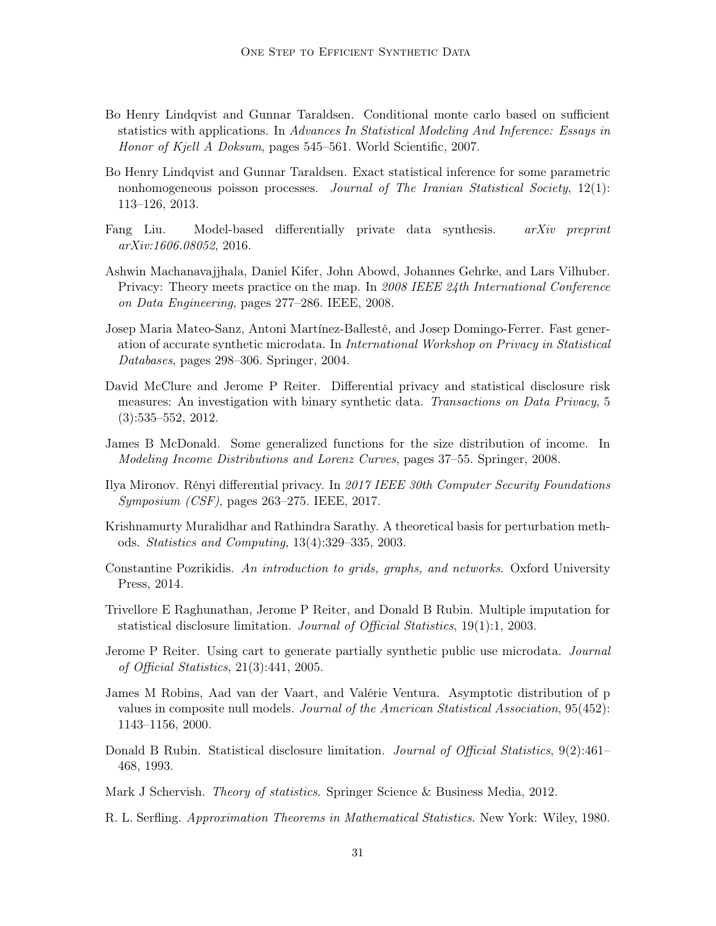- <span id="page-30-5"></span>Bo Henry Lindqvist and Gunnar Taraldsen. Conditional monte carlo based on sufficient statistics with applications. In Advances In Statistical Modeling And Inference: Essays in Honor of Kjell A Doksum, pages 545–561. World Scientific, 2007.
- <span id="page-30-6"></span>Bo Henry Lindqvist and Gunnar Taraldsen. Exact statistical inference for some parametric nonhomogeneous poisson processes. Journal of The Iranian Statistical Society, 12(1): 113–126, 2013.
- <span id="page-30-2"></span>Fang Liu. Model-based differentially private data synthesis. arXiv preprint arXiv:1606.08052, 2016.
- <span id="page-30-0"></span>Ashwin Machanavajjhala, Daniel Kifer, John Abowd, Johannes Gehrke, and Lars Vilhuber. Privacy: Theory meets practice on the map. In 2008 IEEE 24th International Conference on Data Engineering, pages 277–286. IEEE, 2008.
- <span id="page-30-4"></span>Josep Maria Mateo-Sanz, Antoni Martínez-Ballesté, and Josep Domingo-Ferrer. Fast generation of accurate synthetic microdata. In International Workshop on Privacy in Statistical Databases, pages 298–306. Springer, 2004.
- <span id="page-30-1"></span>David McClure and Jerome P Reiter. Differential privacy and statistical disclosure risk measures: An investigation with binary synthetic data. Transactions on Data Privacy, 5 (3):535–552, 2012.
- <span id="page-30-14"></span>James B McDonald. Some generalized functions for the size distribution of income. In Modeling Income Distributions and Lorenz Curves, pages 37–55. Springer, 2008.
- <span id="page-30-15"></span>Ilya Mironov. Rényi differential privacy. In 2017 IEEE 30th Computer Security Foundations Symposium (CSF), pages 263–275. IEEE, 2017.
- <span id="page-30-3"></span>Krishnamurty Muralidhar and Rathindra Sarathy. A theoretical basis for perturbation methods. Statistics and Computing, 13(4):329–335, 2003.
- <span id="page-30-11"></span>Constantine Pozrikidis. An introduction to grids, graphs, and networks. Oxford University Press, 2014.
- <span id="page-30-8"></span>Trivellore E Raghunathan, Jerome P Reiter, and Donald B Rubin. Multiple imputation for statistical disclosure limitation. Journal of Official Statistics, 19(1):1, 2003.
- <span id="page-30-9"></span>Jerome P Reiter. Using cart to generate partially synthetic public use microdata. Journal of Official Statistics, 21(3):441, 2005.
- <span id="page-30-10"></span>James M Robins, Aad van der Vaart, and Valérie Ventura. Asymptotic distribution of p values in composite null models. Journal of the American Statistical Association, 95(452): 1143–1156, 2000.
- <span id="page-30-7"></span>Donald B Rubin. Statistical disclosure limitation. *Journal of Official Statistics*, 9(2):461– 468, 1993.

<span id="page-30-13"></span>Mark J Schervish. Theory of statistics. Springer Science & Business Media, 2012.

<span id="page-30-12"></span>R. L. Serfling. Approximation Theorems in Mathematical Statistics. New York: Wiley, 1980.